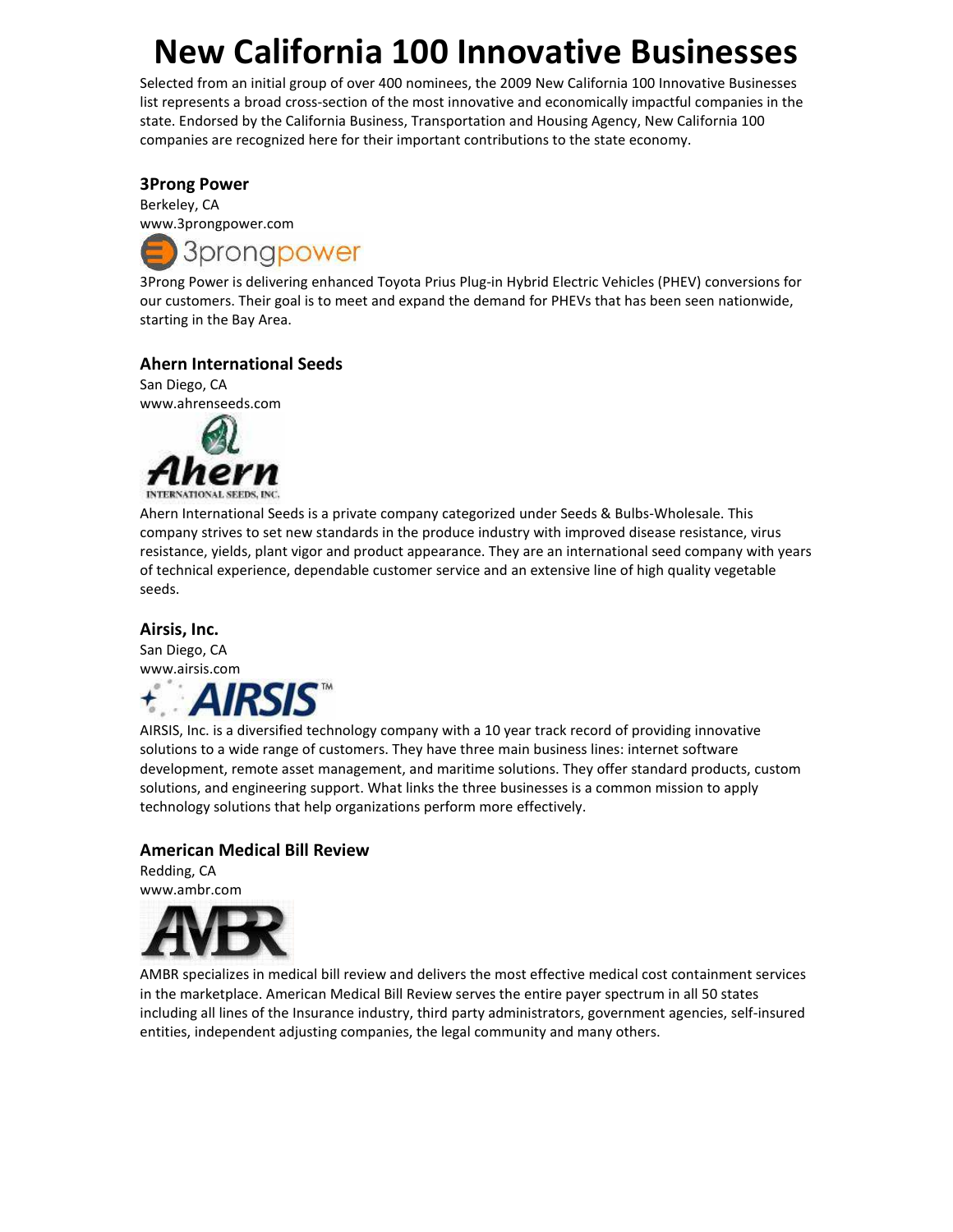# New California 100 Innovative Businesses

Selected from an initial group of over 400 nominees, the 2009 New California 100 Innovative Businesses list represents a broad cross-section of the most innovative and economically impactful companies in the state. Endorsed by the California Business, Transportation and Housing Agency, New California 100 companies are recognized here for their important contributions to the state economy.

#### 3Prong Power

Berkeley, CA www.3prongpower.com



3Prong Power is delivering enhanced Toyota Prius Plug-in Hybrid Electric Vehicles (PHEV) conversions for our customers. Their goal is to meet and expand the demand for PHEVs that has been seen nationwide, starting in the Bay Area.

#### Ahern International Seeds

San Diego, CA www.ahrenseeds.com



Ahern International Seeds is a private company categorized under Seeds & Bulbs-Wholesale. This company strives to set new standards in the produce industry with improved disease resistance, virus resistance, yields, plant vigor and product appearance. They are an international seed company with years of technical experience, dependable customer service and an extensive line of high quality vegetable seeds.

#### Airsis, Inc.

San Diego, CA www.airsis.com



AIRSIS, Inc. is a diversified technology company with a 10 year track record of providing innovative solutions to a wide range of customers. They have three main business lines: internet software development, remote asset management, and maritime solutions. They offer standard products, custom solutions, and engineering support. What links the three businesses is a common mission to apply technology solutions that help organizations perform more effectively.

#### American Medical Bill Review

Redding, CA www.ambr.com



AMBR specializes in medical bill review and delivers the most effective medical cost containment services in the marketplace. American Medical Bill Review serves the entire payer spectrum in all 50 states including all lines of the Insurance industry, third party administrators, government agencies, self-insured entities, independent adjusting companies, the legal community and many others.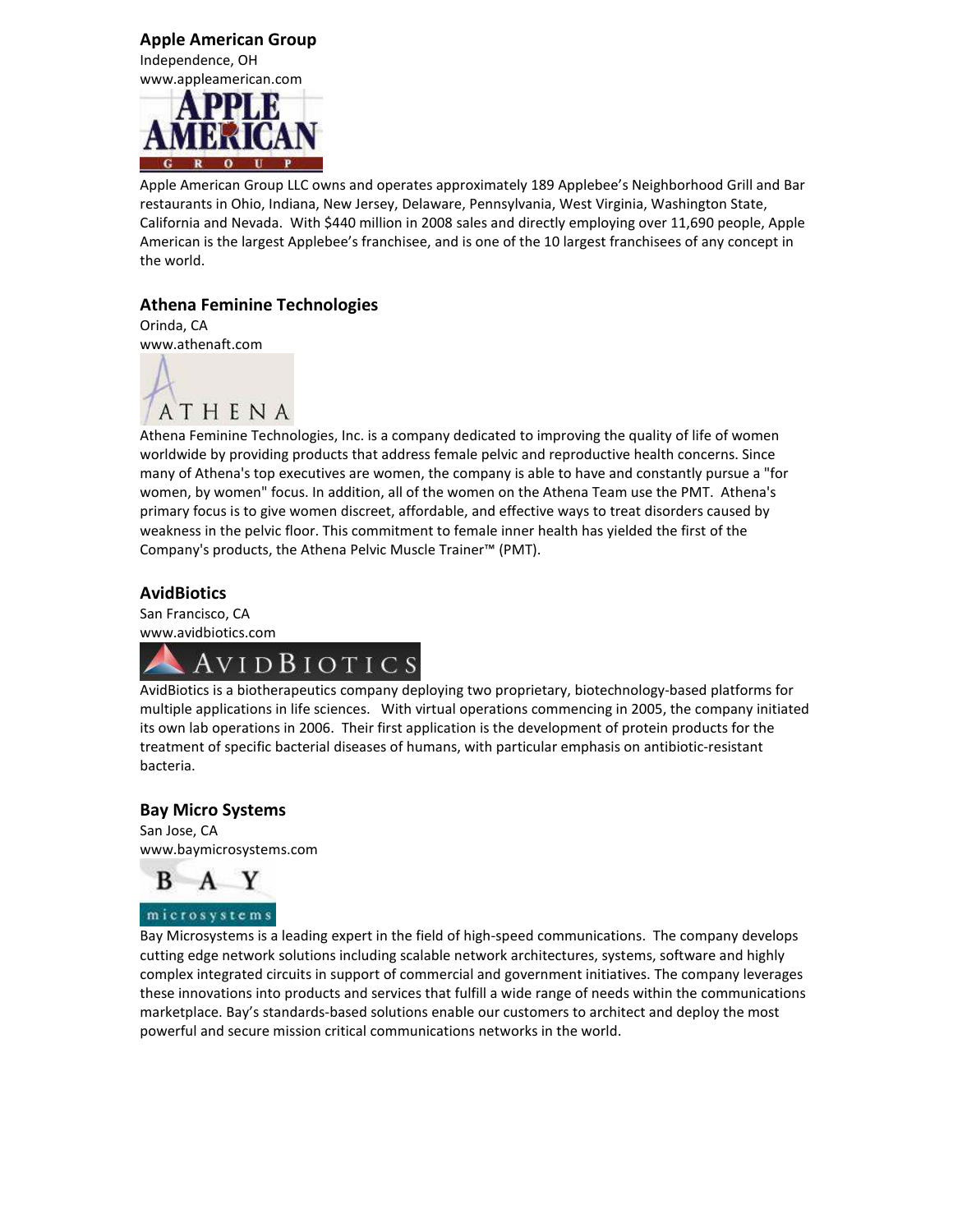Apple American Group Independence, OH www.appleamerican.com



Apple American Group LLC owns and operates approximately 189 Applebee's Neighborhood Grill and Bar restaurants in Ohio, Indiana, New Jersey, Delaware, Pennsylvania, West Virginia, Washington State, California and Nevada. With \$440 million in 2008 sales and directly employing over 11,690 people, Apple American is the largest Applebee's franchisee, and is one of the 10 largest franchisees of any concept in the world.

#### Athena Feminine Technologies

Orinda, CA www.athenaft.com



Athena Feminine Technologies, Inc. is a company dedicated to improving the quality of life of women worldwide by providing products that address female pelvic and reproductive health concerns. Since many of Athena's top executives are women, the company is able to have and constantly pursue a "for women, by women" focus. In addition, all of the women on the Athena Team use the PMT. Athena's primary focus is to give women discreet, affordable, and effective ways to treat disorders caused by weakness in the pelvic floor. This commitment to female inner health has yielded the first of the Company's products, the Athena Pelvic Muscle Trainer™ (PMT).

#### **AvidBiotics**

San Francisco, CA www.avidbiotics.com



AvidBiotics is a biotherapeutics company deploying two proprietary, biotechnology-based platforms for multiple applications in life sciences. With virtual operations commencing in 2005, the company initiated its own lab operations in 2006. Their first application is the development of protein products for the treatment of specific bacterial diseases of humans, with particular emphasis on antibiotic-resistant bacteria.

#### Bay Micro Systems

San Jose, CA www.baymicrosystems.com



microsystems

Bay Microsystems is a leading expert in the field of high-speed communications. The company develops cutting edge network solutions including scalable network architectures, systems, software and highly complex integrated circuits in support of commercial and government initiatives. The company leverages these innovations into products and services that fulfill a wide range of needs within the communications marketplace. Bay's standards-based solutions enable our customers to architect and deploy the most powerful and secure mission critical communications networks in the world.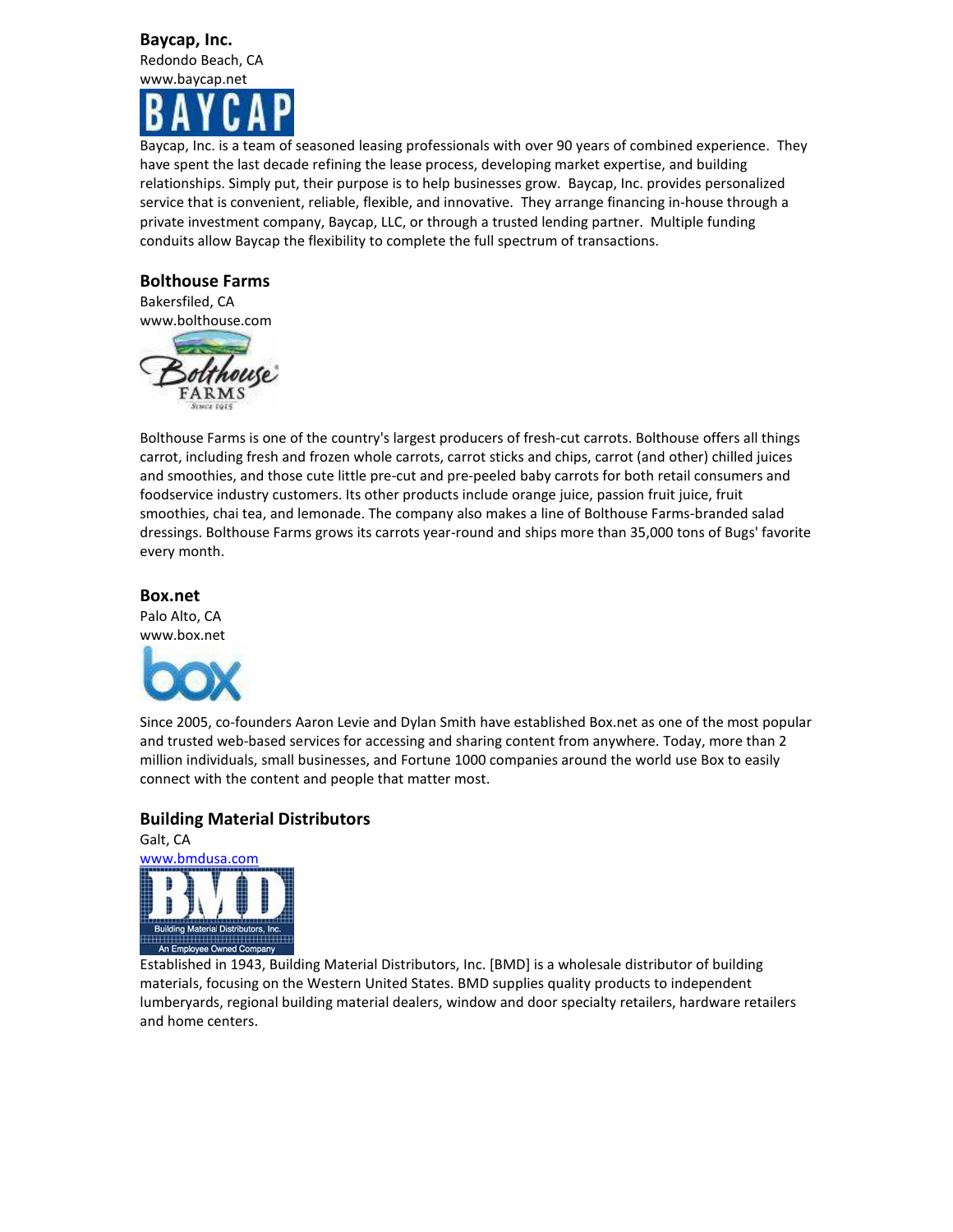### Baycap, Inc.

Redondo Beach, CA www.baycap.net

Baycap, Inc. is a team of seasoned leasing professionals with over 90 years of combined experience. They have spent the last decade refining the lease process, developing market expertise, and building relationships. Simply put, their purpose is to help businesses grow. Baycap, Inc. provides personalized service that is convenient, reliable, flexible, and innovative. They arrange financing in-house through a private investment company, Baycap, LLC, or through a trusted lending partner. Multiple funding conduits allow Baycap the flexibility to complete the full spectrum of transactions.

#### Bolthouse Farms

Bakersfiled, CA www.bolthouse.com



Bolthouse Farms is one of the country's largest producers of fresh-cut carrots. Bolthouse offers all things carrot, including fresh and frozen whole carrots, carrot sticks and chips, carrot (and other) chilled juices and smoothies, and those cute little pre-cut and pre-peeled baby carrots for both retail consumers and foodservice industry customers. Its other products include orange juice, passion fruit juice, fruit smoothies, chai tea, and lemonade. The company also makes a line of Bolthouse Farms-branded salad dressings. Bolthouse Farms grows its carrots year-round and ships more than 35,000 tons of Bugs' favorite every month.

#### Box.net

Palo Alto, CA www.box.net



Since 2005, co-founders Aaron Levie and Dylan Smith have established Box.net as one of the most popular and trusted web-based services for accessing and sharing content from anywhere. Today, more than 2 million individuals, small businesses, and Fortune 1000 companies around the world use Box to easily connect with the content and people that matter most.

#### Building Material Distributors



Established in 1943, Building Material Distributors, Inc. [BMD] is a wholesale distributor of building materials, focusing on the Western United States. BMD supplies quality products to independent lumberyards, regional building material dealers, window and door specialty retailers, hardware retailers and home centers.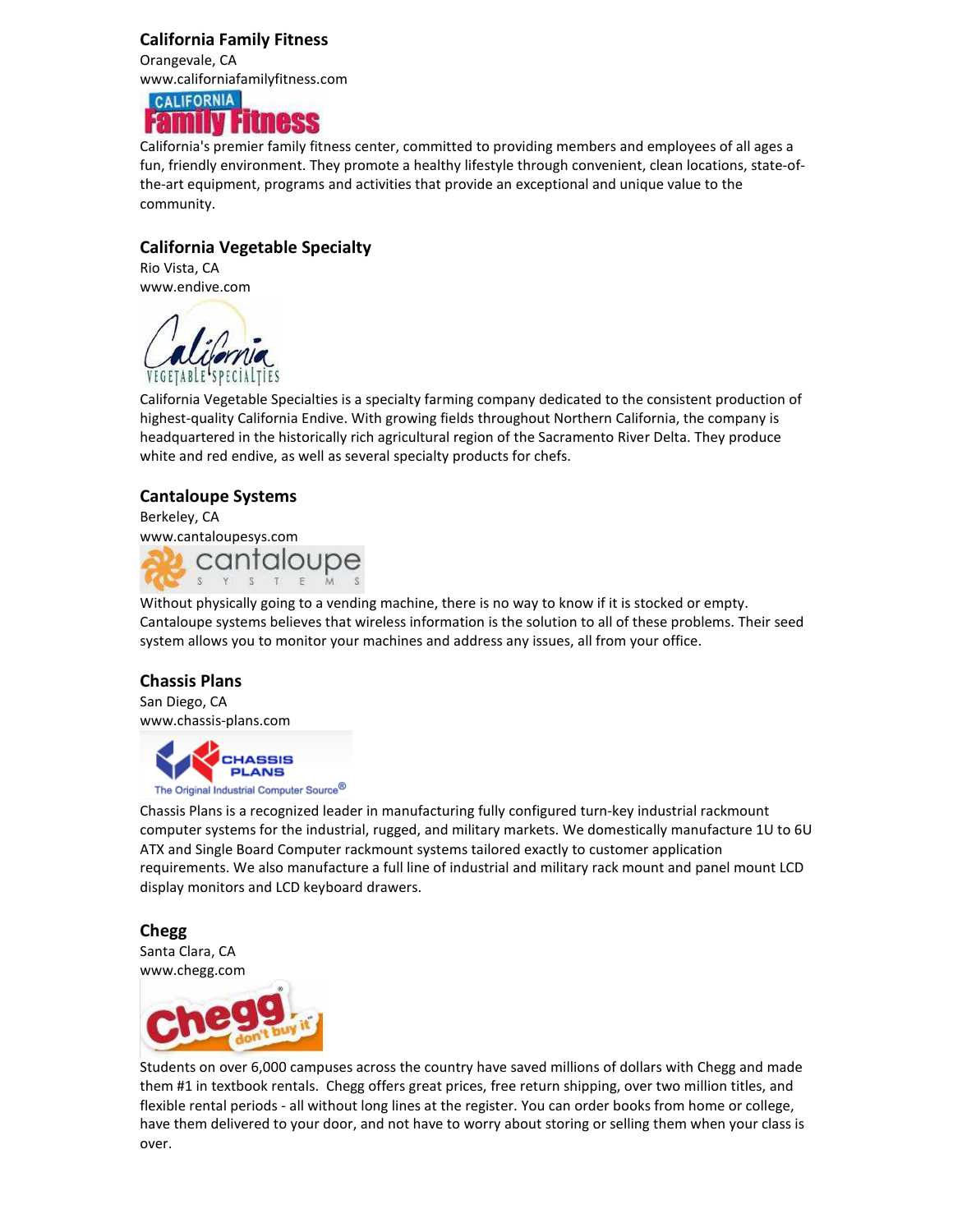#### California Family Fitness

Orangevale, CA www.californiafamilyfitness.com

### **CALIFORNIA FIURESS**

California's premier family fitness center, committed to providing members and employees of all ages a fun, friendly environment. They promote a healthy lifestyle through convenient, clean locations, state-ofthe-art equipment, programs and activities that provide an exceptional and unique value to the community.

#### California Vegetable Specialty

Rio Vista, CA www.endive.com



California Vegetable Specialties is a specialty farming company dedicated to the consistent production of highest-quality California Endive. With growing fields throughout Northern California, the company is headquartered in the historically rich agricultural region of the Sacramento River Delta. They produce white and red endive, as well as several specialty products for chefs.

#### Cantaloupe Systems

Berkeley, CA www.cantaloupesys.com cantaloupe

Without physically going to a vending machine, there is no way to know if it is stocked or empty. Cantaloupe systems believes that wireless information is the solution to all of these problems. Their seed system allows you to monitor your machines and address any issues, all from your office.

#### Chassis Plans

San Diego, CA www.chassis-plans.com

**ASSIS PLANS** The Original Industrial Computer Source<sup>®</sup>

Chassis Plans is a recognized leader in manufacturing fully configured turn-key industrial rackmount computer systems for the industrial, rugged, and military markets. We domestically manufacture 1U to 6U ATX and Single Board Computer rackmount systems tailored exactly to customer application requirements. We also manufacture a full line of industrial and military rack mount and panel mount LCD display monitors and LCD keyboard drawers.

Chegg Santa Clara, CA www.chegg.com



Students on over 6,000 campuses across the country have saved millions of dollars with Chegg and made them #1 in textbook rentals. Chegg offers great prices, free return shipping, over two million titles, and flexible rental periods - all without long lines at the register. You can order books from home or college, have them delivered to your door, and not have to worry about storing or selling them when your class is over.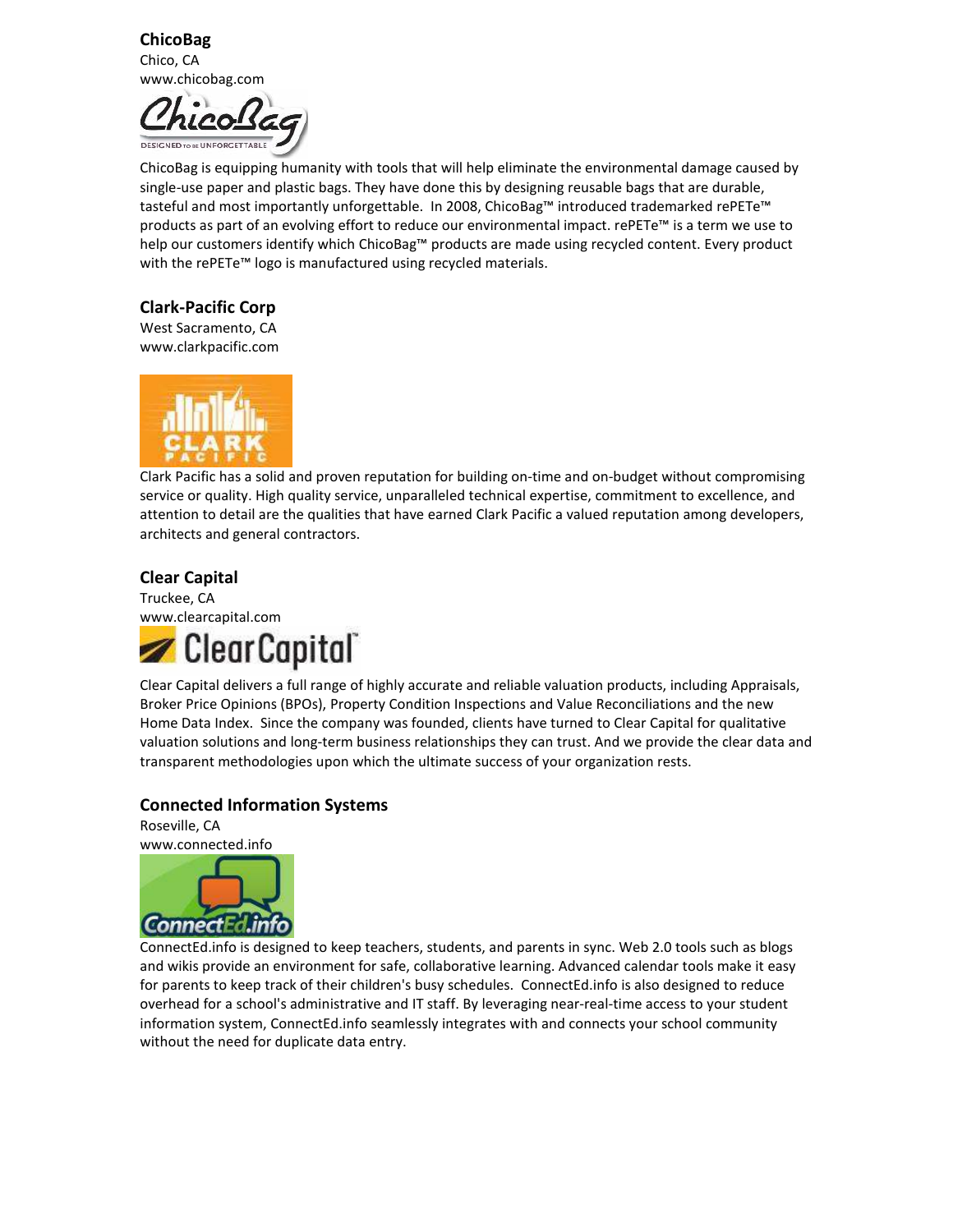ChicoBag Chico, CA www.chicobag.com



ChicoBag is equipping humanity with tools that will help eliminate the environmental damage caused by single-use paper and plastic bags. They have done this by designing reusable bags that are durable, tasteful and most importantly unforgettable. In 2008, ChicoBag™ introduced trademarked rePETe™ products as part of an evolving effort to reduce our environmental impact. rePETe™ is a term we use to help our customers identify which ChicoBag™ products are made using recycled content. Every product with the rePETe™ logo is manufactured using recycled materials.

#### Clark-Pacific Corp

West Sacramento, CA www.clarkpacific.com



Clark Pacific has a solid and proven reputation for building on-time and on-budget without compromising service or quality. High quality service, unparalleled technical expertise, commitment to excellence, and attention to detail are the qualities that have earned Clark Pacific a valued reputation among developers, architects and general contractors.

#### Clear Capital

Truckee, CA www.clearcapital.com



Clear Capital delivers a full range of highly accurate and reliable valuation products, including Appraisals, Broker Price Opinions (BPOs), Property Condition Inspections and Value Reconciliations and the new Home Data Index. Since the company was founded, clients have turned to Clear Capital for qualitative valuation solutions and long-term business relationships they can trust. And we provide the clear data and transparent methodologies upon which the ultimate success of your organization rests.

#### Connected Information Systems

Roseville, CA www.connected.info



ConnectEd.info is designed to keep teachers, students, and parents in sync. Web 2.0 tools such as blogs and wikis provide an environment for safe, collaborative learning. Advanced calendar tools make it easy for parents to keep track of their children's busy schedules. ConnectEd.info is also designed to reduce overhead for a school's administrative and IT staff. By leveraging near-real-time access to your student information system, ConnectEd.info seamlessly integrates with and connects your school community without the need for duplicate data entry.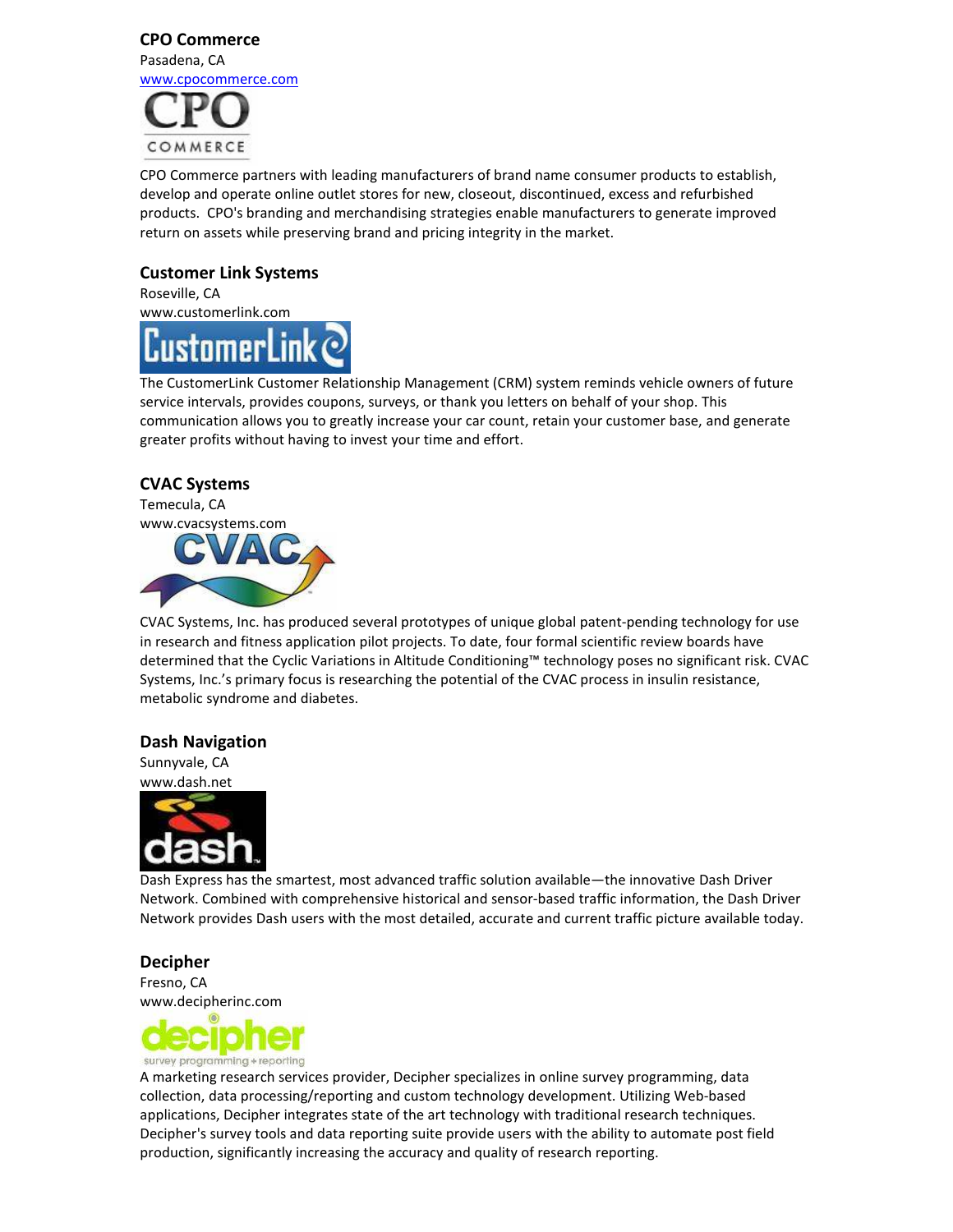### CPO Commerce Pasadena, CA www.cpocommerce.com



CPO Commerce partners with leading manufacturers of brand name consumer products to establish, develop and operate online outlet stores for new, closeout, discontinued, excess and refurbished products. CPO's branding and merchandising strategies enable manufacturers to generate improved return on assets while preserving brand and pricing integrity in the market.

#### Customer Link Systems

Roseville, CA www.customerlink.com



The CustomerLink Customer Relationship Management (CRM) system reminds vehicle owners of future service intervals, provides coupons, surveys, or thank you letters on behalf of your shop. This communication allows you to greatly increase your car count, retain your customer base, and generate greater profits without having to invest your time and effort.

#### CVAC Systems

Temecula, CA www.cvacsystems.com



CVAC Systems, Inc. has produced several prototypes of unique global patent-pending technology for use in research and fitness application pilot projects. To date, four formal scientific review boards have determined that the Cyclic Variations in Altitude Conditioning™ technology poses no significant risk. CVAC Systems, Inc.'s primary focus is researching the potential of the CVAC process in insulin resistance, metabolic syndrome and diabetes.

#### Dash Navigation

Sunnyvale, CA www.dash.net



Dash Express has the smartest, most advanced traffic solution available—the innovative Dash Driver Network. Combined with comprehensive historical and sensor-based traffic information, the Dash Driver Network provides Dash users with the most detailed, accurate and current traffic picture available today.

#### Decipher

Fresno, CA www.decipherinc.com



A marketing research services provider, Decipher specializes in online survey programming, data collection, data processing/reporting and custom technology development. Utilizing Web-based applications, Decipher integrates state of the art technology with traditional research techniques. Decipher's survey tools and data reporting suite provide users with the ability to automate post field production, significantly increasing the accuracy and quality of research reporting.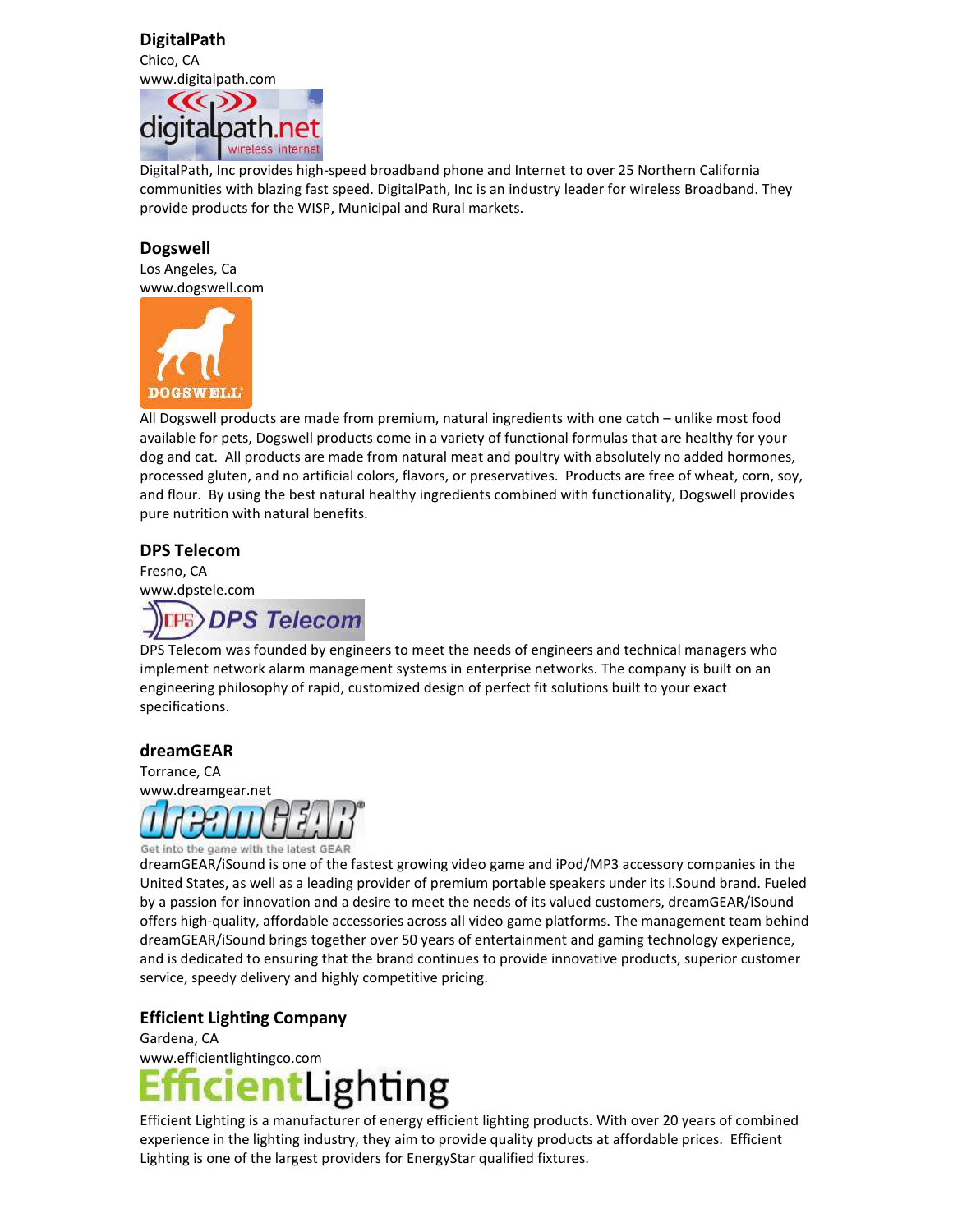#### DigitalPath Chico, CA



DigitalPath, Inc provides high-speed broadband phone and Internet to over 25 Northern California communities with blazing fast speed. DigitalPath, Inc is an industry leader for wireless Broadband. They provide products for the WISP, Municipal and Rural markets.

#### Dogswell

Los Angeles, Ca www.dogswell.com



All Dogswell products are made from premium, natural ingredients with one catch – unlike most food available for pets, Dogswell products come in a variety of functional formulas that are healthy for your dog and cat. All products are made from natural meat and poultry with absolutely no added hormones, processed gluten, and no artificial colors, flavors, or preservatives. Products are free of wheat, corn, soy, and flour. By using the best natural healthy ingredients combined with functionality, Dogswell provides pure nutrition with natural benefits.

#### DPS Telecom

Fresno, CA www.dpstele.com



DPS Telecom was founded by engineers to meet the needs of engineers and technical managers who implement network alarm management systems in enterprise networks. The company is built on an engineering philosophy of rapid, customized design of perfect fit solutions built to your exact specifications.

#### dreamGEAR



dreamGEAR/iSound is one of the fastest growing video game and iPod/MP3 accessory companies in the United States, as well as a leading provider of premium portable speakers under its i.Sound brand. Fueled by a passion for innovation and a desire to meet the needs of its valued customers, dreamGEAR/iSound offers high-quality, affordable accessories across all video game platforms. The management team behind dreamGEAR/iSound brings together over 50 years of entertainment and gaming technology experience, and is dedicated to ensuring that the brand continues to provide innovative products, superior customer service, speedy delivery and highly competitive pricing.

#### Efficient Lighting Company

Gardena, CA www.efficientlightingco.com tLighting

Efficient Lighting is a manufacturer of energy efficient lighting products. With over 20 years of combined experience in the lighting industry, they aim to provide quality products at affordable prices. Efficient Lighting is one of the largest providers for EnergyStar qualified fixtures.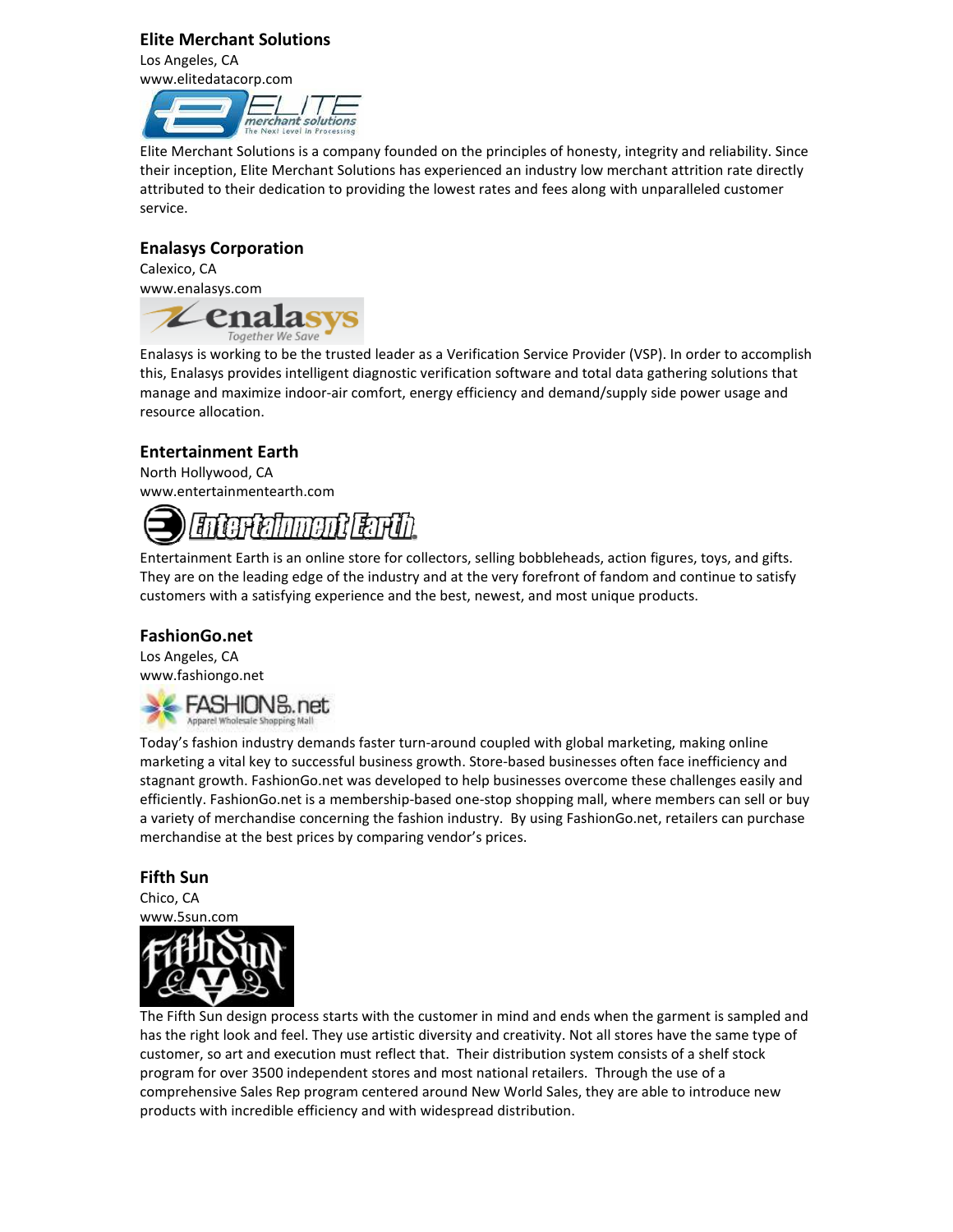#### Elite Merchant Solutions

Los Angeles, CA www.elitedatacorp.com



Elite Merchant Solutions is a company founded on the principles of honesty, integrity and reliability. Since their inception, Elite Merchant Solutions has experienced an industry low merchant attrition rate directly attributed to their dedication to providing the lowest rates and fees along with unparalleled customer service.

#### Enalasys Corporation

Calexico, CA www.enalasys.com



Enalasys is working to be the trusted leader as a Verification Service Provider (VSP). In order to accomplish this, Enalasys provides intelligent diagnostic verification software and total data gathering solutions that manage and maximize indoor-air comfort, energy efficiency and demand/supply side power usage and resource allocation.

#### Entertainment Earth

North Hollywood, CA www.entertainmentearth.com



Entertainment Earth is an online store for collectors, selling bobbleheads, action figures, toys, and gifts. They are on the leading edge of the industry and at the very forefront of fandom and continue to satisfy customers with a satisfying experience and the best, newest, and most unique products.

#### FashionGo.net

Los Angeles, CA www.fashiongo.net



Today's fashion industry demands faster turn-around coupled with global marketing, making online marketing a vital key to successful business growth. Store-based businesses often face inefficiency and stagnant growth. FashionGo.net was developed to help businesses overcome these challenges easily and efficiently. FashionGo.net is a membership-based one-stop shopping mall, where members can sell or buy a variety of merchandise concerning the fashion industry. By using FashionGo.net, retailers can purchase merchandise at the best prices by comparing vendor's prices.

#### Fifth Sun

Chico, CA www.5sun.com



The Fifth Sun design process starts with the customer in mind and ends when the garment is sampled and has the right look and feel. They use artistic diversity and creativity. Not all stores have the same type of customer, so art and execution must reflect that. Their distribution system consists of a shelf stock program for over 3500 independent stores and most national retailers. Through the use of a comprehensive Sales Rep program centered around New World Sales, they are able to introduce new products with incredible efficiency and with widespread distribution.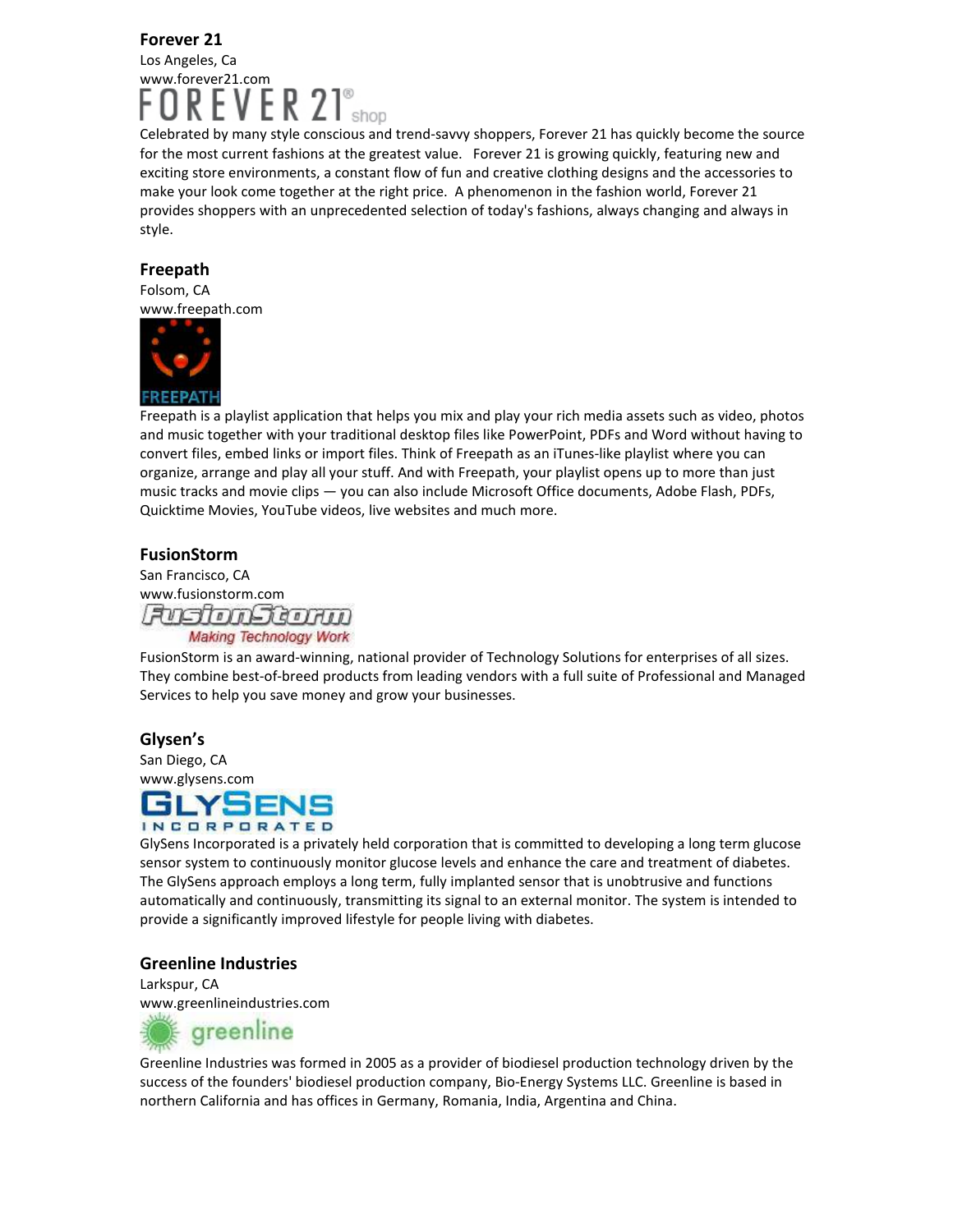#### Forever 21 Los Angeles, Ca www.forever21.com ĸ.

Celebrated by many style conscious and trend-savvy shoppers, Forever 21 has quickly become the source for the most current fashions at the greatest value. Forever 21 is growing quickly, featuring new and exciting store environments, a constant flow of fun and creative clothing designs and the accessories to make your look come together at the right price. A phenomenon in the fashion world, Forever 21 provides shoppers with an unprecedented selection of today's fashions, always changing and always in style.

#### Freepath

Folsom, CA www.freepath.com



Freepath is a playlist application that helps you mix and play your rich media assets such as video, photos and music together with your traditional desktop files like PowerPoint, PDFs and Word without having to convert files, embed links or import files. Think of Freepath as an iTunes-like playlist where you can organize, arrange and play all your stuff. And with Freepath, your playlist opens up to more than just music tracks and movie clips — you can also include Microsoft Office documents, Adobe Flash, PDFs, Quicktime Movies, YouTube videos, live websites and much more.

#### FusionStorm

San Francisco, CA www.fusionstorm.com FusionStorm **Making Technology Work** 

FusionStorm is an award-winning, national provider of Technology Solutions for enterprises of all sizes. They combine best-of-breed products from leading vendors with a full suite of Professional and Managed Services to help you save money and grow your businesses.

#### Glysen's

San Diego, CA



GlySens Incorporated is a privately held corporation that is committed to developing a long term glucose sensor system to continuously monitor glucose levels and enhance the care and treatment of diabetes. The GlySens approach employs a long term, fully implanted sensor that is unobtrusive and functions automatically and continuously, transmitting its signal to an external monitor. The system is intended to provide a significantly improved lifestyle for people living with diabetes.

#### Greenline Industries

Larkspur, CA www.greenlineindustries.com



Greenline Industries was formed in 2005 as a provider of biodiesel production technology driven by the success of the founders' biodiesel production company, Bio-Energy Systems LLC. Greenline is based in northern California and has offices in Germany, Romania, India, Argentina and China.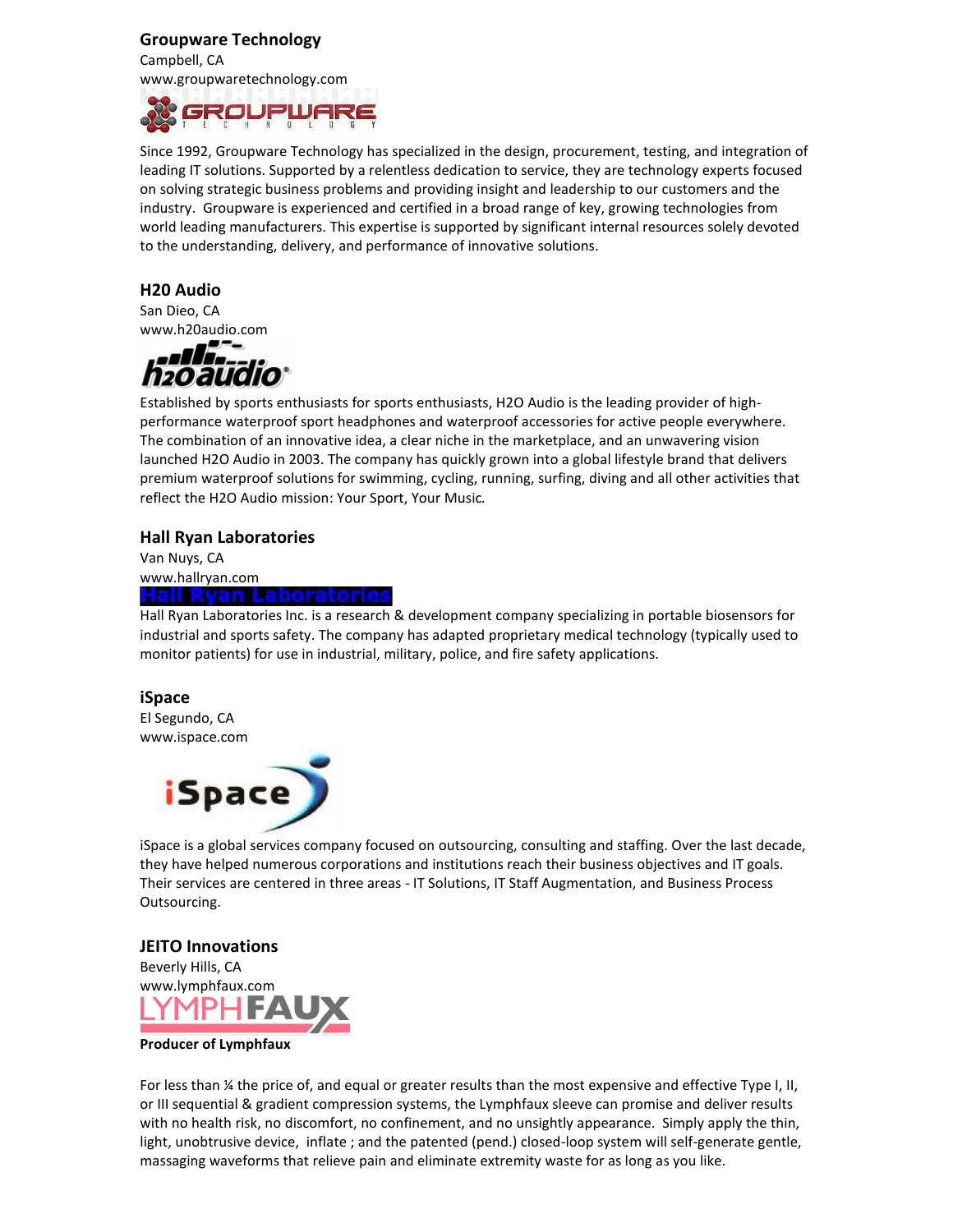#### Groupware Technology

Campbell, CA www.groupwaretechnology.com



Since 1992, Groupware Technology has specialized in the design, procurement, testing, and integration of leading IT solutions. Supported by a relentless dedication to service, they are technology experts focused on solving strategic business problems and providing insight and leadership to our customers and the industry. Groupware is experienced and certified in a broad range of key, growing technologies from world leading manufacturers. This expertise is supported by significant internal resources solely devoted to the understanding, delivery, and performance of innovative solutions.

#### H20 Audio

San Dieo, CA www.h20audio.com



Established by sports enthusiasts for sports enthusiasts, H2O Audio is the leading provider of highperformance waterproof sport headphones and waterproof accessories for active people everywhere. The combination of an innovative idea, a clear niche in the marketplace, and an unwavering vision launched H2O Audio in 2003. The company has quickly grown into a global lifestyle brand that delivers premium waterproof solutions for swimming, cycling, running, surfing, diving and all other activities that reflect the H2O Audio mission: Your Sport, Your Music.

#### Hall Ryan Laboratories

Van Nuys, CA www.hallryan.com Hall Rvan Laboratori

Hall Ryan Laboratories Inc. is a research & development company specializing in portable biosensors for industrial and sports safety. The company has adapted proprietary medical technology (typically used to monitor patients) for use in industrial, military, police, and fire safety applications.

#### iSpace

El Segundo, CA www.ispace.com



iSpace is a global services company focused on outsourcing, consulting and staffing. Over the last decade, they have helped numerous corporations and institutions reach their business objectives and IT goals. Their services are centered in three areas - IT Solutions, IT Staff Augmentation, and Business Process Outsourcing.

#### JEITO Innovations



#### Producer of Lymphfaux

For less than ¼ the price of, and equal or greater results than the most expensive and effective Type I, II, or III sequential & gradient compression systems, the Lymphfaux sleeve can promise and deliver results with no health risk, no discomfort, no confinement, and no unsightly appearance. Simply apply the thin, light, unobtrusive device, inflate ; and the patented (pend.) closed-loop system will self-generate gentle, massaging waveforms that relieve pain and eliminate extremity waste for as long as you like.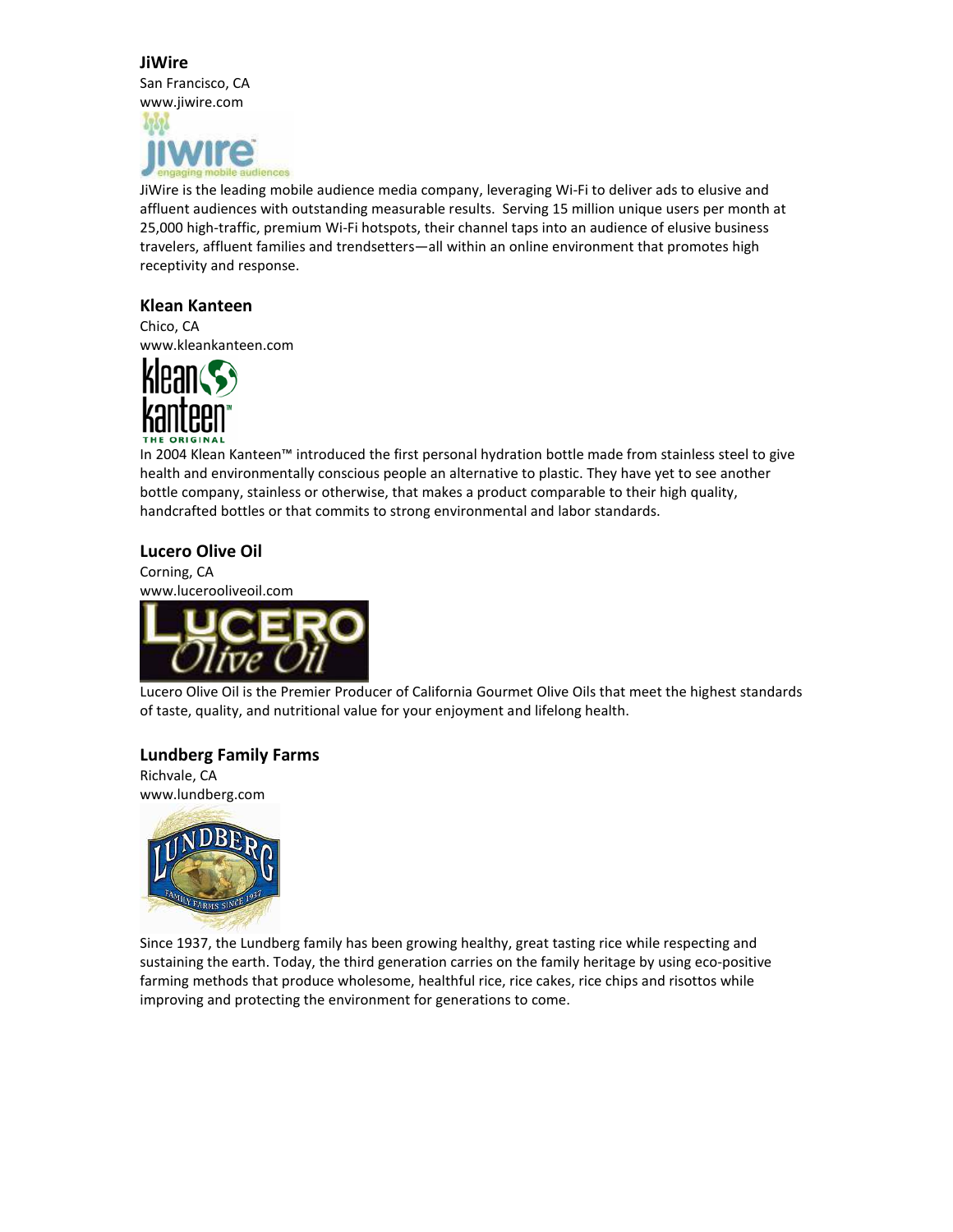#### **JiWire**

San Francisco, CA www.jiwire.com



JiWire is the leading mobile audience media company, leveraging Wi-Fi to deliver ads to elusive and affluent audiences with outstanding measurable results. Serving 15 million unique users per month at 25,000 high-traffic, premium Wi-Fi hotspots, their channel taps into an audience of elusive business travelers, affluent families and trendsetters—all within an online environment that promotes high receptivity and response.

#### Klean Kanteen

Chico, CA www.kleankanteen.com



In 2004 Klean Kanteen™ introduced the first personal hydration bottle made from stainless steel to give health and environmentally conscious people an alternative to plastic. They have yet to see another bottle company, stainless or otherwise, that makes a product comparable to their high quality, handcrafted bottles or that commits to strong environmental and labor standards.

#### Lucero Olive Oil

Corning, CA www.lucerooliveoil.com



Lucero Olive Oil is the Premier Producer of California Gourmet Olive Oils that meet the highest standards of taste, quality, and nutritional value for your enjoyment and lifelong health.

#### Lundberg Family Farms

Richvale, CA www.lundberg.com



Since 1937, the Lundberg family has been growing healthy, great tasting rice while respecting and sustaining the earth. Today, the third generation carries on the family heritage by using eco-positive farming methods that produce wholesome, healthful rice, rice cakes, rice chips and risottos while improving and protecting the environment for generations to come.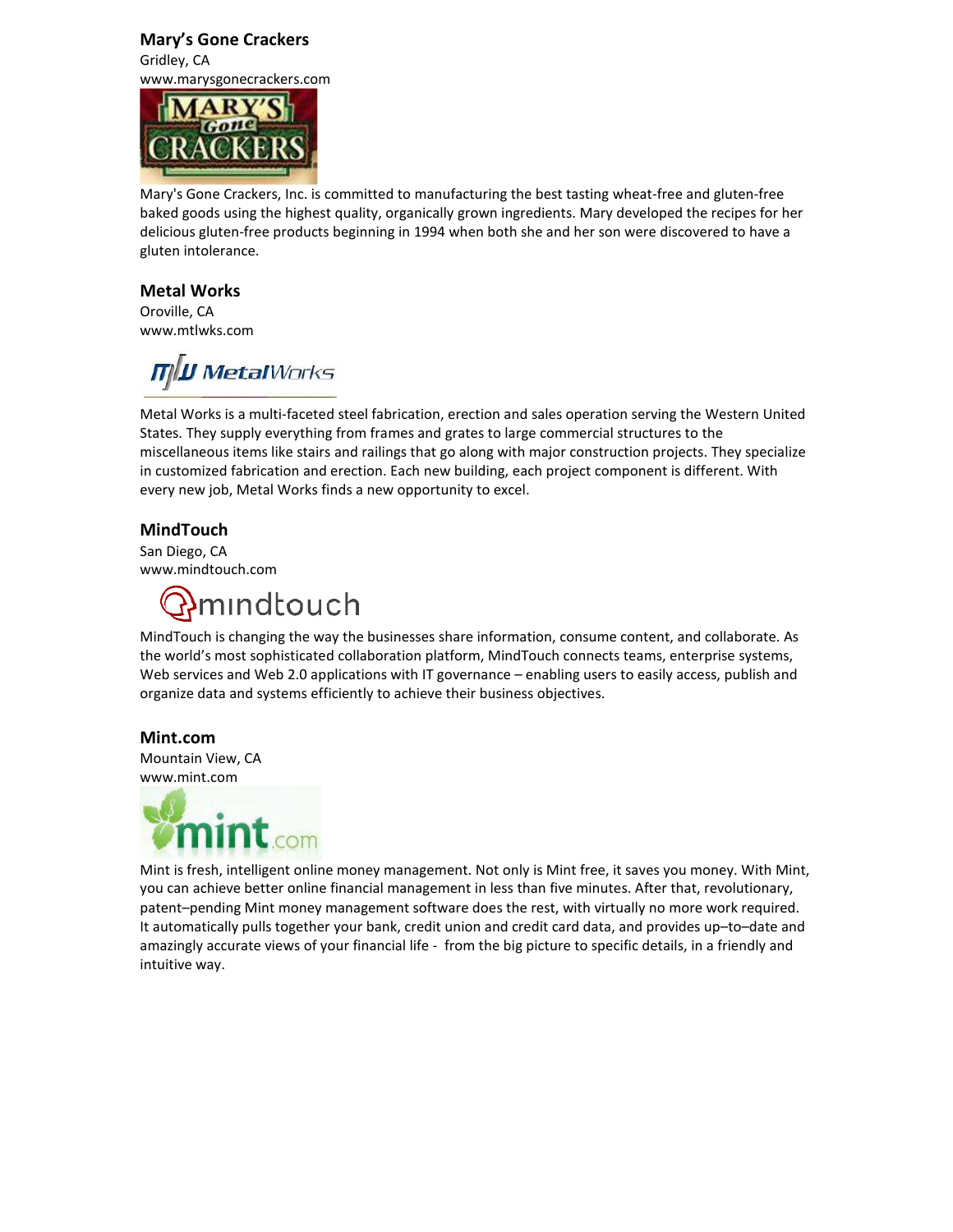#### Mary's Gone Crackers Gridley, CA

www.marysgonecrackers.com



Mary's Gone Crackers, Inc. is committed to manufacturing the best tasting wheat-free and gluten-free baked goods using the highest quality, organically grown ingredients. Mary developed the recipes for her delicious gluten-free products beginning in 1994 when both she and her son were discovered to have a gluten intolerance.

#### Metal Works

Oroville, CA www.mtlwks.com

**MIN Metal**Works

Metal Works is a multi-faceted steel fabrication, erection and sales operation serving the Western United States. They supply everything from frames and grates to large commercial structures to the miscellaneous items like stairs and railings that go along with major construction projects. They specialize in customized fabrication and erection. Each new building, each project component is different. With every new job, Metal Works finds a new opportunity to excel.

#### MindTouch

San Diego, CA www.mindtouch.com



MindTouch is changing the way the businesses share information, consume content, and collaborate. As the world's most sophisticated collaboration platform, MindTouch connects teams, enterprise systems, Web services and Web 2.0 applications with IT governance – enabling users to easily access, publish and organize data and systems efficiently to achieve their business objectives.

#### Mint.com

Mountain View, CA www.mint.com



Mint is fresh, intelligent online money management. Not only is Mint free, it saves you money. With Mint, you can achieve better online financial management in less than five minutes. After that, revolutionary, patent–pending Mint money management software does the rest, with virtually no more work required. It automatically pulls together your bank, credit union and credit card data, and provides up–to–date and amazingly accurate views of your financial life - from the big picture to specific details, in a friendly and intuitive way.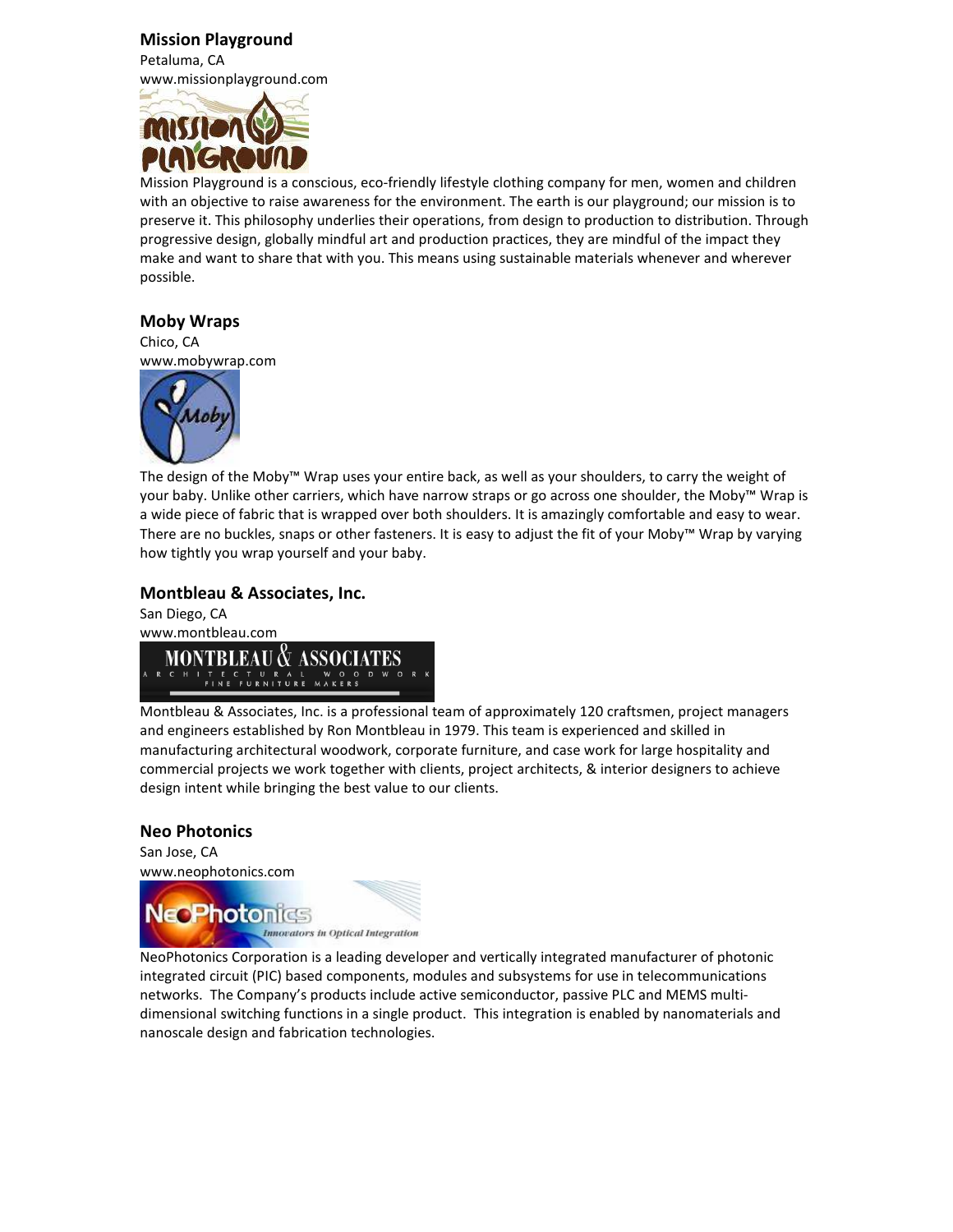#### Mission Playground

Petaluma, CA www.missionplayground.com



Mission Playground is a conscious, eco-friendly lifestyle clothing company for men, women and children with an objective to raise awareness for the environment. The earth is our playground; our mission is to preserve it. This philosophy underlies their operations, from design to production to distribution. Through progressive design, globally mindful art and production practices, they are mindful of the impact they make and want to share that with you. This means using sustainable materials whenever and wherever possible.

#### Moby Wraps

Chico, CA www.mobywrap.com



The design of the Moby™ Wrap uses your entire back, as well as your shoulders, to carry the weight of your baby. Unlike other carriers, which have narrow straps or go across one shoulder, the Moby™ Wrap is a wide piece of fabric that is wrapped over both shoulders. It is amazingly comfortable and easy to wear. There are no buckles, snaps or other fasteners. It is easy to adjust the fit of your Moby™ Wrap by varying how tightly you wrap yourself and your baby.

#### Montbleau & Associates, Inc.

San Diego, CA www.montbleau.com **MONTBLEAU & ASSOCIATES** CTURAL<br>FURNITURE

Montbleau & Associates, Inc. is a professional team of approximately 120 craftsmen, project managers and engineers established by Ron Montbleau in 1979. This team is experienced and skilled in manufacturing architectural woodwork, corporate furniture, and case work for large hospitality and commercial projects we work together with clients, project architects, & interior designers to achieve design intent while bringing the best value to our clients.

#### Neo Photonics

San Jose, CA www.neophotonics.com



NeoPhotonics Corporation is a leading developer and vertically integrated manufacturer of photonic integrated circuit (PIC) based components, modules and subsystems for use in telecommunications networks. The Company's products include active semiconductor, passive PLC and MEMS multidimensional switching functions in a single product. This integration is enabled by nanomaterials and nanoscale design and fabrication technologies.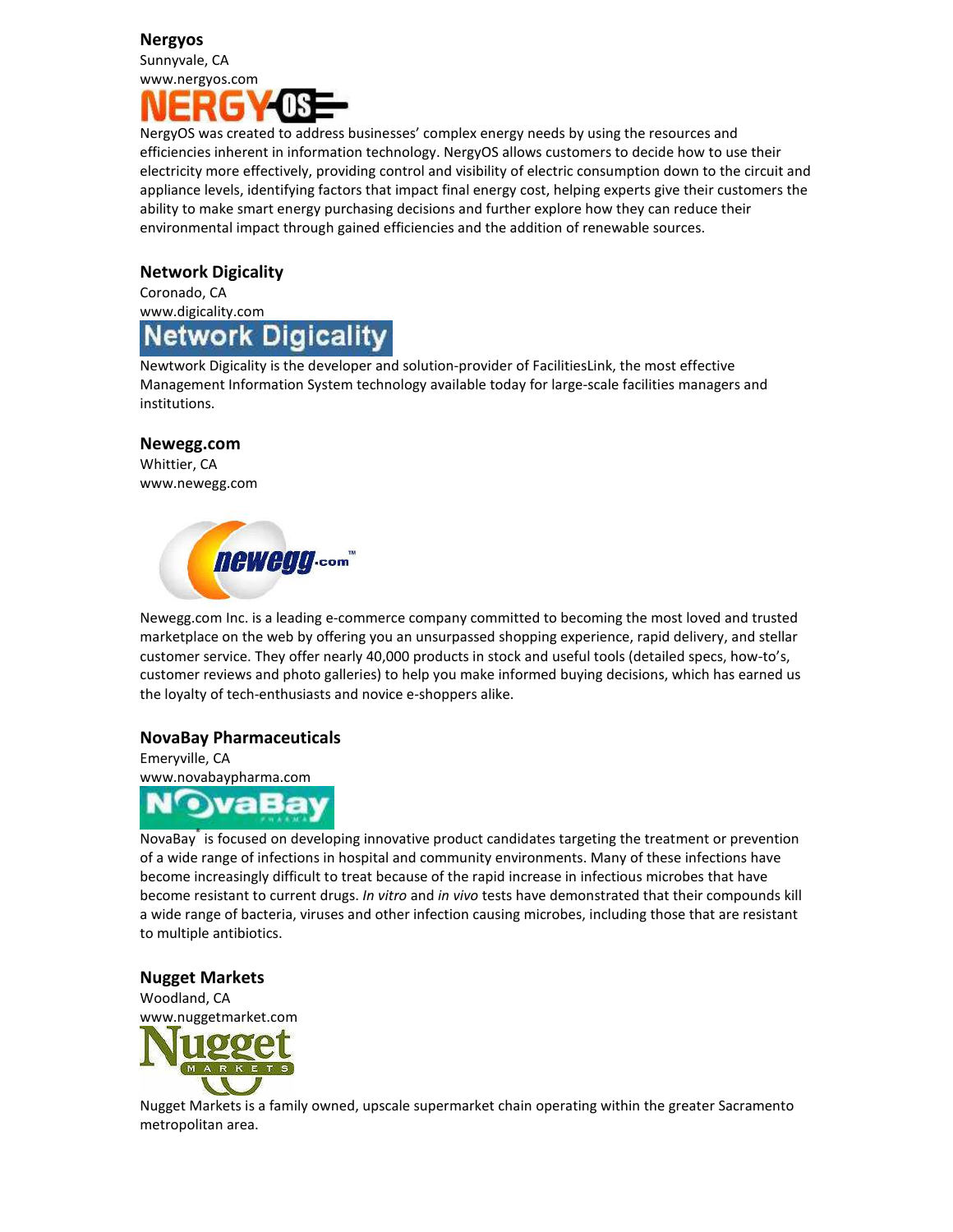#### Nergyos

Sunnyvale, CA www.nergyos.com



NergyOS was created to address businesses' complex energy needs by using the resources and efficiencies inherent in information technology. NergyOS allows customers to decide how to use their electricity more effectively, providing control and visibility of electric consumption down to the circuit and appliance levels, identifying factors that impact final energy cost, helping experts give their customers the ability to make smart energy purchasing decisions and further explore how they can reduce their environmental impact through gained efficiencies and the addition of renewable sources.

#### Network Digicality

Coronado, CA www.digicality.com

# **Network Digicality**

Newtwork Digicality is the developer and solution-provider of FacilitiesLink, the most effective Management Information System technology available today for large-scale facilities managers and institutions.

#### Newegg.com

Whittier, CA www.newegg.com



Newegg.com Inc. is a leading e-commerce company committed to becoming the most loved and trusted marketplace on the web by offering you an unsurpassed shopping experience, rapid delivery, and stellar customer service. They offer nearly 40,000 products in stock and useful tools (detailed specs, how-to's, customer reviews and photo galleries) to help you make informed buying decisions, which has earned us the loyalty of tech-enthusiasts and novice e-shoppers alike.

#### NovaBay Pharmaceuticals

Emeryville, CA www.novabaypharma.com



NovaBay<sup>®</sup> is focused on developing innovative product candidates targeting the treatment or prevention of a wide range of infections in hospital and community environments. Many of these infections have become increasingly difficult to treat because of the rapid increase in infectious microbes that have become resistant to current drugs. In vitro and in vivo tests have demonstrated that their compounds kill a wide range of bacteria, viruses and other infection causing microbes, including those that are resistant to multiple antibiotics.

#### Nugget Markets

Woodland, CA www.nuggetmarket.com



Nugget Markets is a family owned, upscale supermarket chain operating within the greater Sacramento metropolitan area.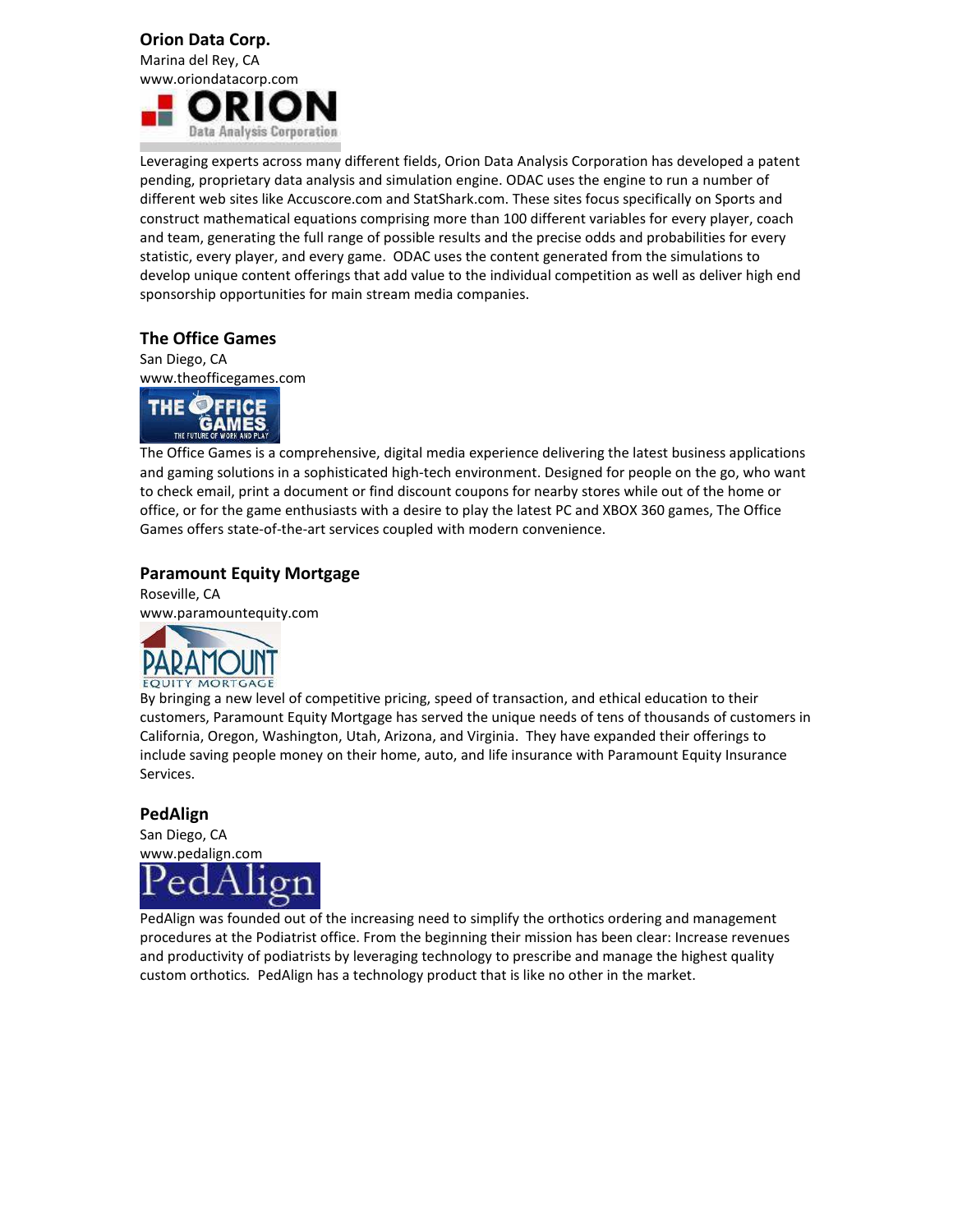#### Orion Data Corp.

Marina del Rey, CA www.oriondatacorp.com



Leveraging experts across many different fields, Orion Data Analysis Corporation has developed a patent pending, proprietary data analysis and simulation engine. ODAC uses the engine to run a number of different web sites like Accuscore.com and StatShark.com. These sites focus specifically on Sports and construct mathematical equations comprising more than 100 different variables for every player, coach and team, generating the full range of possible results and the precise odds and probabilities for every statistic, every player, and every game. ODAC uses the content generated from the simulations to develop unique content offerings that add value to the individual competition as well as deliver high end sponsorship opportunities for main stream media companies.

#### The Office Games

San Diego, CA www.theofficegames.com



The Office Games is a comprehensive, digital media experience delivering the latest business applications and gaming solutions in a sophisticated high-tech environment. Designed for people on the go, who want to check email, print a document or find discount coupons for nearby stores while out of the home or office, or for the game enthusiasts with a desire to play the latest PC and XBOX 360 games, The Office Games offers state-of-the-art services coupled with modern convenience.

#### Paramount Equity Mortgage

Roseville, CA www.paramountequity.com



By bringing a new level of competitive pricing, speed of transaction, and ethical education to their customers, Paramount Equity Mortgage has served the unique needs of tens of thousands of customers in California, Oregon, Washington, Utah, Arizona, and Virginia. They have expanded their offerings to include saving people money on their home, auto, and life insurance with Paramount Equity Insurance Services.

#### PedAlign

San Diego, CA www.pedalign.com



PedAlign was founded out of the increasing need to simplify the orthotics ordering and management procedures at the Podiatrist office. From the beginning their mission has been clear: Increase revenues and productivity of podiatrists by leveraging technology to prescribe and manage the highest quality custom orthotics. PedAlign has a technology product that is like no other in the market.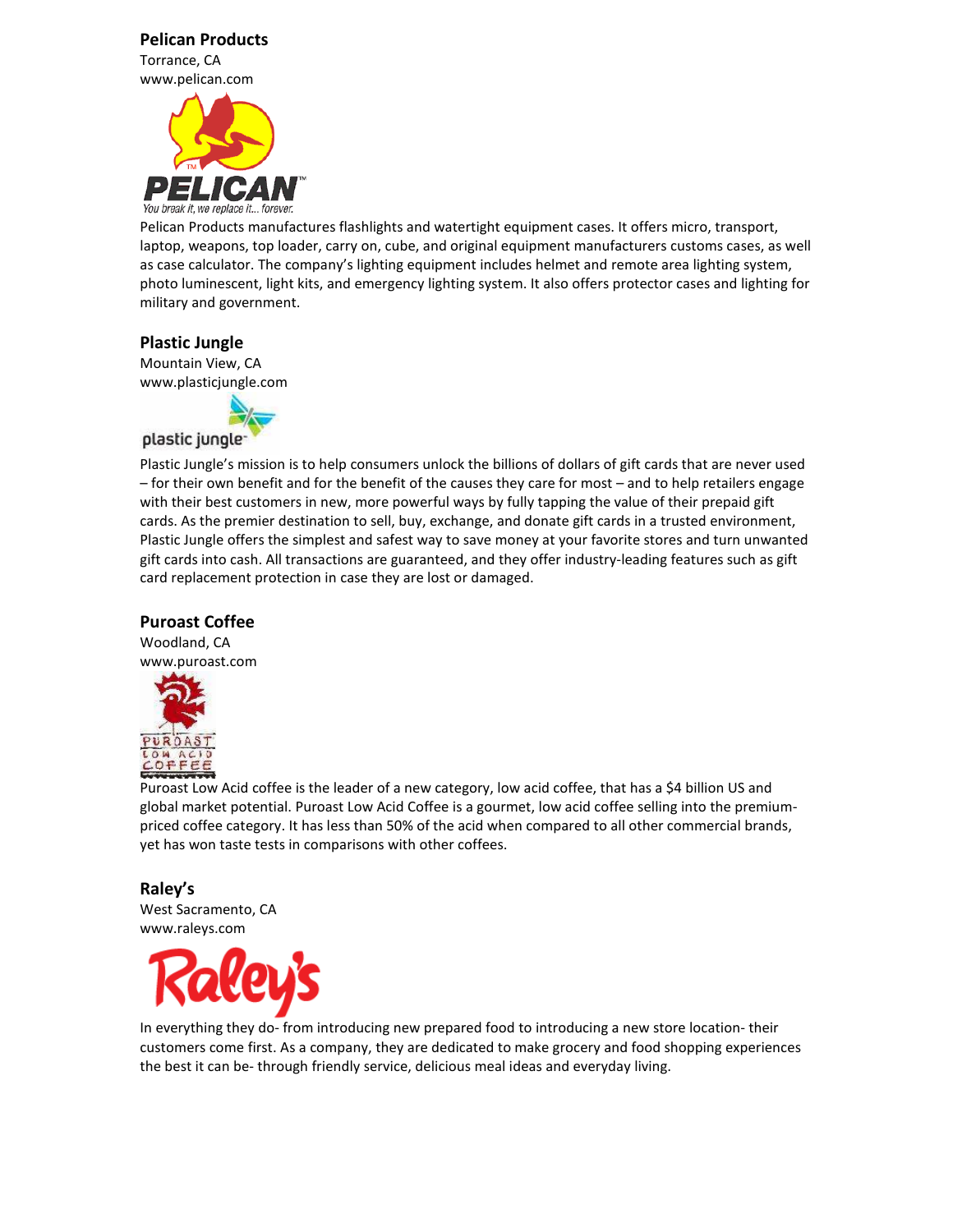#### Pelican Products

Torrance, CA www.pelican.com



Pelican Products manufactures flashlights and watertight equipment cases. It offers micro, transport, laptop, weapons, top loader, carry on, cube, and original equipment manufacturers customs cases, as well as case calculator. The company's lighting equipment includes helmet and remote area lighting system, photo luminescent, light kits, and emergency lighting system. It also offers protector cases and lighting for military and government.

#### Plastic Jungle

Mountain View, CA www.plasticjungle.com



Plastic Jungle's mission is to help consumers unlock the billions of dollars of gift cards that are never used – for their own benefit and for the benefit of the causes they care for most – and to help retailers engage with their best customers in new, more powerful ways by fully tapping the value of their prepaid gift cards. As the premier destination to sell, buy, exchange, and donate gift cards in a trusted environment, Plastic Jungle offers the simplest and safest way to save money at your favorite stores and turn unwanted gift cards into cash. All transactions are guaranteed, and they offer industry-leading features such as gift card replacement protection in case they are lost or damaged.

#### Puroast Coffee

Woodland, CA www.puroast.com



Puroast Low Acid coffee is the leader of a new category, low acid coffee, that has a \$4 billion US and global market potential. Puroast Low Acid Coffee is a gourmet, low acid coffee selling into the premiumpriced coffee category. It has less than 50% of the acid when compared to all other commercial brands, yet has won taste tests in comparisons with other coffees.

Raley's West Sacramento, CA www.raleys.com



In everything they do- from introducing new prepared food to introducing a new store location- their customers come first. As a company, they are dedicated to make grocery and food shopping experiences the best it can be- through friendly service, delicious meal ideas and everyday living.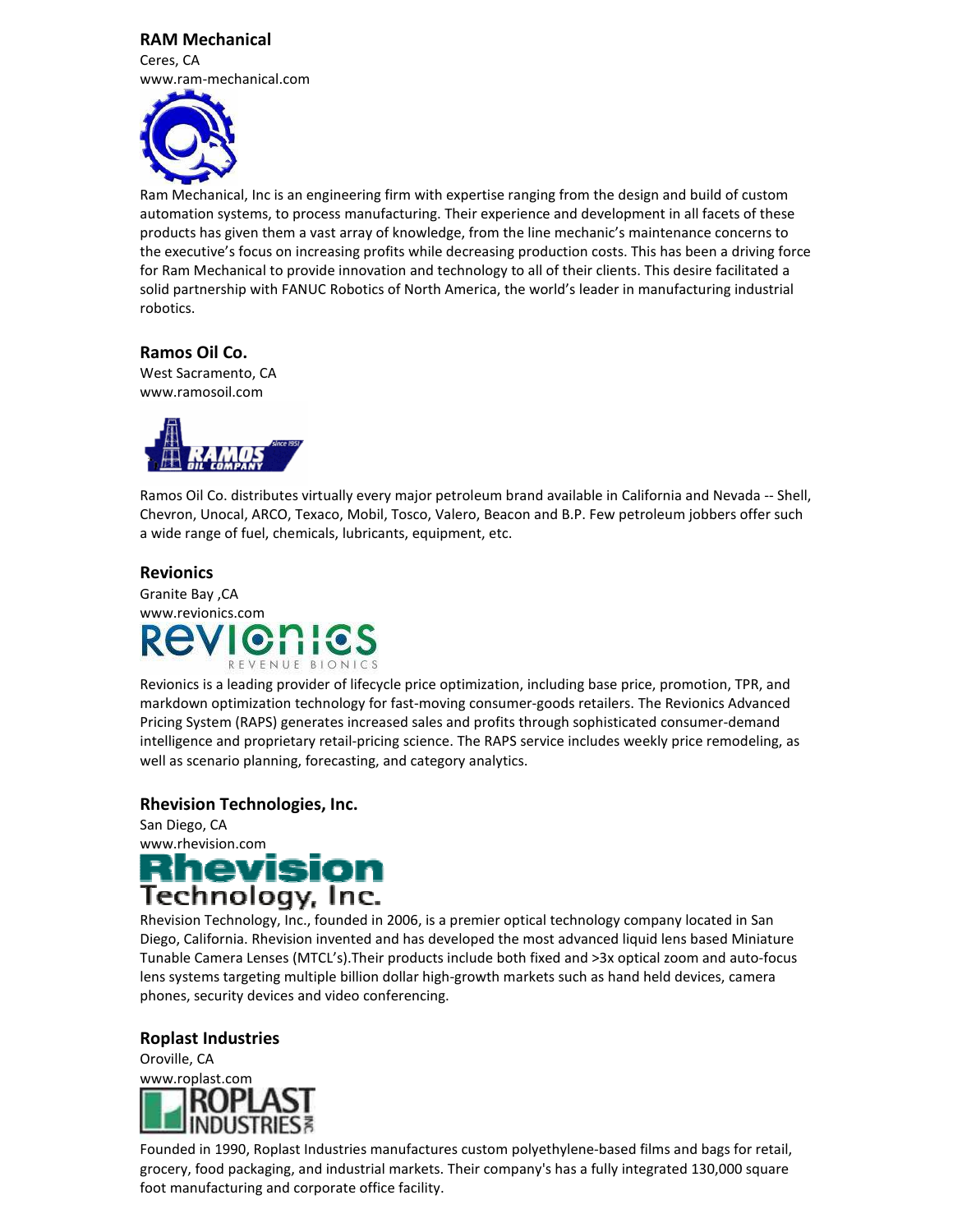#### RAM Mechanical





Ram Mechanical, Inc is an engineering firm with expertise ranging from the design and build of custom automation systems, to process manufacturing. Their experience and development in all facets of these products has given them a vast array of knowledge, from the line mechanic's maintenance concerns to the executive's focus on increasing profits while decreasing production costs. This has been a driving force for Ram Mechanical to provide innovation and technology to all of their clients. This desire facilitated a solid partnership with FANUC Robotics of North America, the world's leader in manufacturing industrial robotics.

#### Ramos Oil Co.

West Sacramento, CA www.ramosoil.com



Ramos Oil Co. distributes virtually every major petroleum brand available in California and Nevada -- Shell, Chevron, Unocal, ARCO, Texaco, Mobil, Tosco, Valero, Beacon and B.P. Few petroleum jobbers offer such a wide range of fuel, chemicals, lubricants, equipment, etc.

#### Revionics

Granite Bay ,CA www.revionics.com REVENUE BIONICS

Revionics is a leading provider of lifecycle price optimization, including base price, promotion, TPR, and markdown optimization technology for fast-moving consumer-goods retailers. The Revionics Advanced Pricing System (RAPS) generates increased sales and profits through sophisticated consumer-demand intelligence and proprietary retail-pricing science. The RAPS service includes weekly price remodeling, as well as scenario planning, forecasting, and category analytics.

#### Rhevision Technologies, Inc.

San Diego, CA www.rhevision.com<br>**Rhevision** Technology, Inc.

Rhevision Technology, Inc., founded in 2006, is a premier optical technology company located in San Diego, California. Rhevision invented and has developed the most advanced liquid lens based Miniature Tunable Camera Lenses (MTCL's).Their products include both fixed and >3x optical zoom and auto-focus lens systems targeting multiple billion dollar high-growth markets such as hand held devices, camera phones, security devices and video conferencing.

#### Roplast Industries

Oroville, CA www.roplast.com

Founded in 1990, Roplast Industries manufactures custom polyethylene-based films and bags for retail, grocery, food packaging, and industrial markets. Their company's has a fully integrated 130,000 square foot manufacturing and corporate office facility.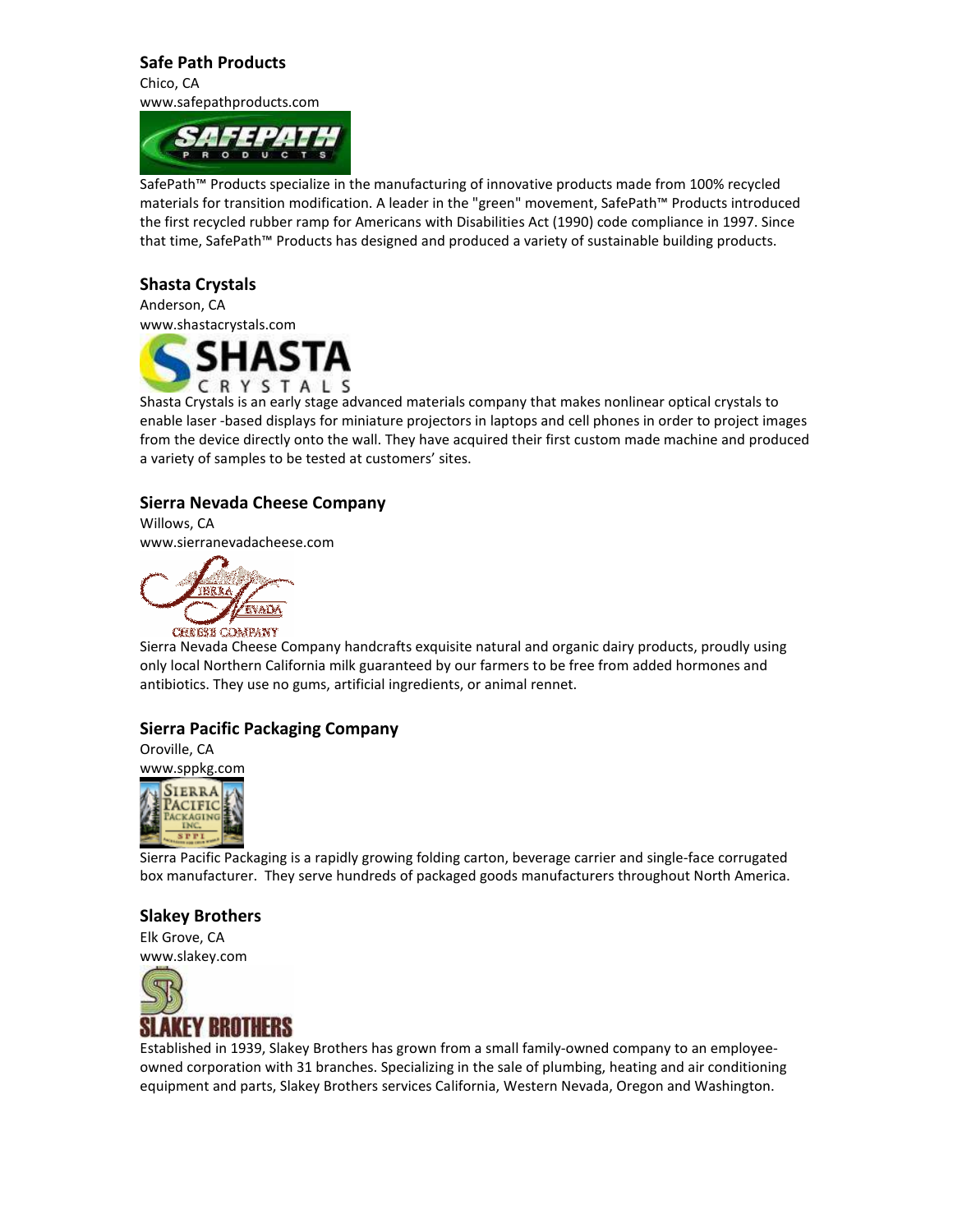#### Safe Path Products

Chico, CA www.safepathproducts.com



SafePath™ Products specialize in the manufacturing of innovative products made from 100% recycled materials for transition modification. A leader in the "green" movement, SafePath™ Products introduced the first recycled rubber ramp for Americans with Disabilities Act (1990) code compliance in 1997. Since that time, SafePath™ Products has designed and produced a variety of sustainable building products.

#### Shasta Crystals

Anderson, CA www.shastacrystals.com



Shasta Crystals is an early stage advanced materials company that makes nonlinear optical crystals to enable laser -based displays for miniature projectors in laptops and cell phones in order to project images from the device directly onto the wall. They have acquired their first custom made machine and produced a variety of samples to be tested at customers' sites.

#### Sierra Nevada Cheese Company

Willows, CA www.sierranevadacheese.com



Sierra Nevada Cheese Company handcrafts exquisite natural and organic dairy products, proudly using only local Northern California milk guaranteed by our farmers to be free from added hormones and antibiotics. They use no gums, artificial ingredients, or animal rennet.

#### Sierra Pacific Packaging Company

Oroville, CA www.sppkg.com



Sierra Pacific Packaging is a rapidly growing folding carton, beverage carrier and single-face corrugated box manufacturer. They serve hundreds of packaged goods manufacturers throughout North America.

#### Slakey Brothers

Elk Grove, CA www.slakey.com



Established in 1939, Slakey Brothers has grown from a small family-owned company to an employeeowned corporation with 31 branches. Specializing in the sale of plumbing, heating and air conditioning equipment and parts, Slakey Brothers services California, Western Nevada, Oregon and Washington.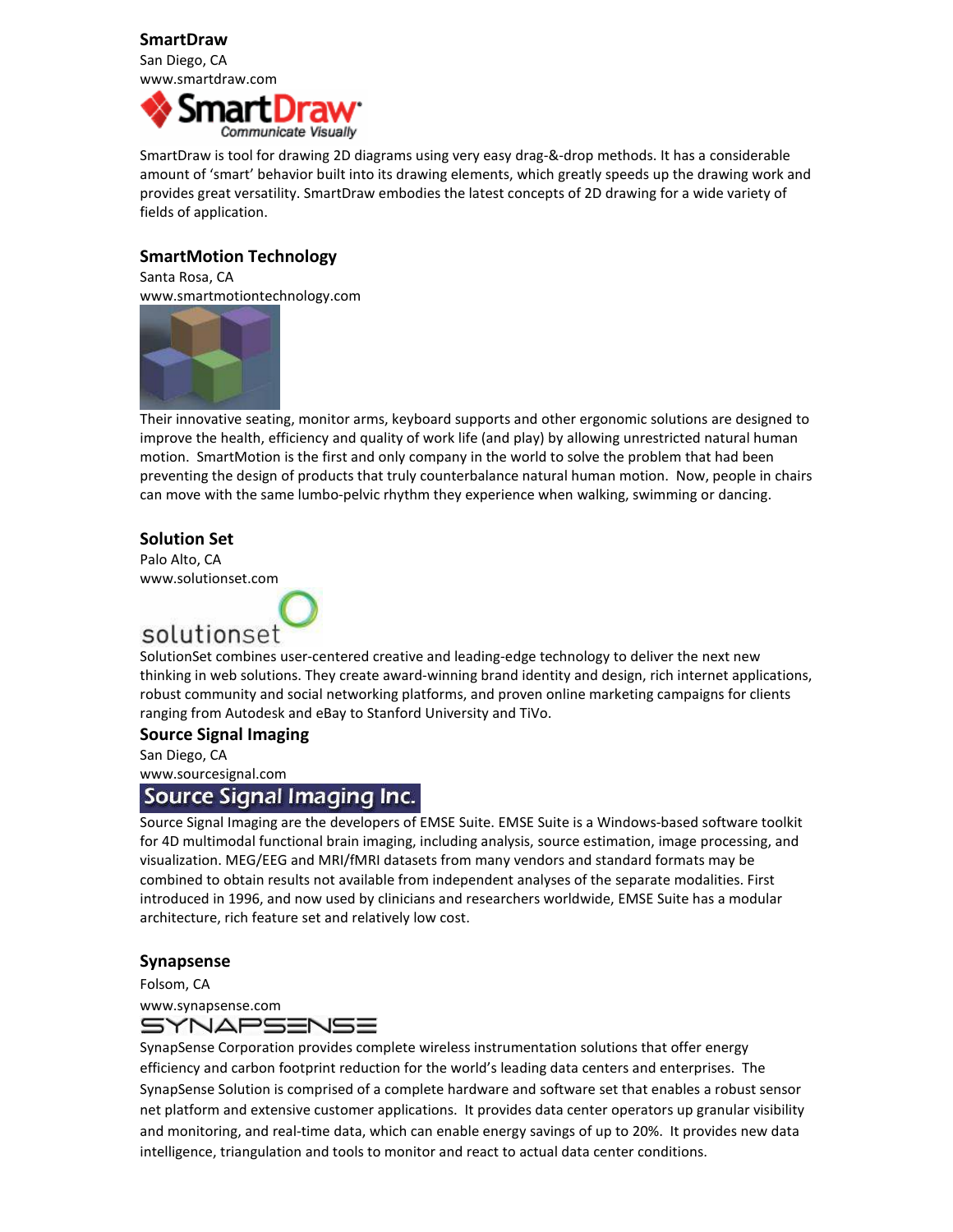#### SmartDraw

San Diego, CA www.smartdraw.com



SmartDraw is tool for drawing 2D diagrams using very easy drag-&-drop methods. It has a considerable amount of 'smart' behavior built into its drawing elements, which greatly speeds up the drawing work and provides great versatility. SmartDraw embodies the latest concepts of 2D drawing for a wide variety of fields of application.

#### SmartMotion Technology

Santa Rosa, CA www.smartmotiontechnology.com



Their innovative seating, monitor arms, keyboard supports and other ergonomic solutions are designed to improve the health, efficiency and quality of work life (and play) by allowing unrestricted natural human motion. SmartMotion is the first and only company in the world to solve the problem that had been preventing the design of products that truly counterbalance natural human motion. Now, people in chairs can move with the same lumbo-pelvic rhythm they experience when walking, swimming or dancing.

#### Solution Set

Palo Alto, CA www.solutionset.com

## solutionset

SolutionSet combines user-centered creative and leading-edge technology to deliver the next new thinking in web solutions. They create award-winning brand identity and design, rich internet applications, robust community and social networking platforms, and proven online marketing campaigns for clients ranging from Autodesk and eBay to Stanford University and TiVo.

#### Source Signal Imaging

San Diego, CA

# www.sourcesignal.com<br>Source Signal Imaging Inc.

Source Signal Imaging are the developers of EMSE Suite. EMSE Suite is a Windows-based software toolkit for 4D multimodal functional brain imaging, including analysis, source estimation, image processing, and visualization. MEG/EEG and MRI/fMRI datasets from many vendors and standard formats may be combined to obtain results not available from independent analyses of the separate modalities. First introduced in 1996, and now used by clinicians and researchers worldwide, EMSE Suite has a modular architecture, rich feature set and relatively low cost.

#### Synapsense

Folsom, CA www.synapsense.com

SYNAPSENSE

SynapSense Corporation provides complete wireless instrumentation solutions that offer energy efficiency and carbon footprint reduction for the world's leading data centers and enterprises. The SynapSense Solution is comprised of a complete hardware and software set that enables a robust sensor net platform and extensive customer applications. It provides data center operators up granular visibility and monitoring, and real-time data, which can enable energy savings of up to 20%. It provides new data intelligence, triangulation and tools to monitor and react to actual data center conditions.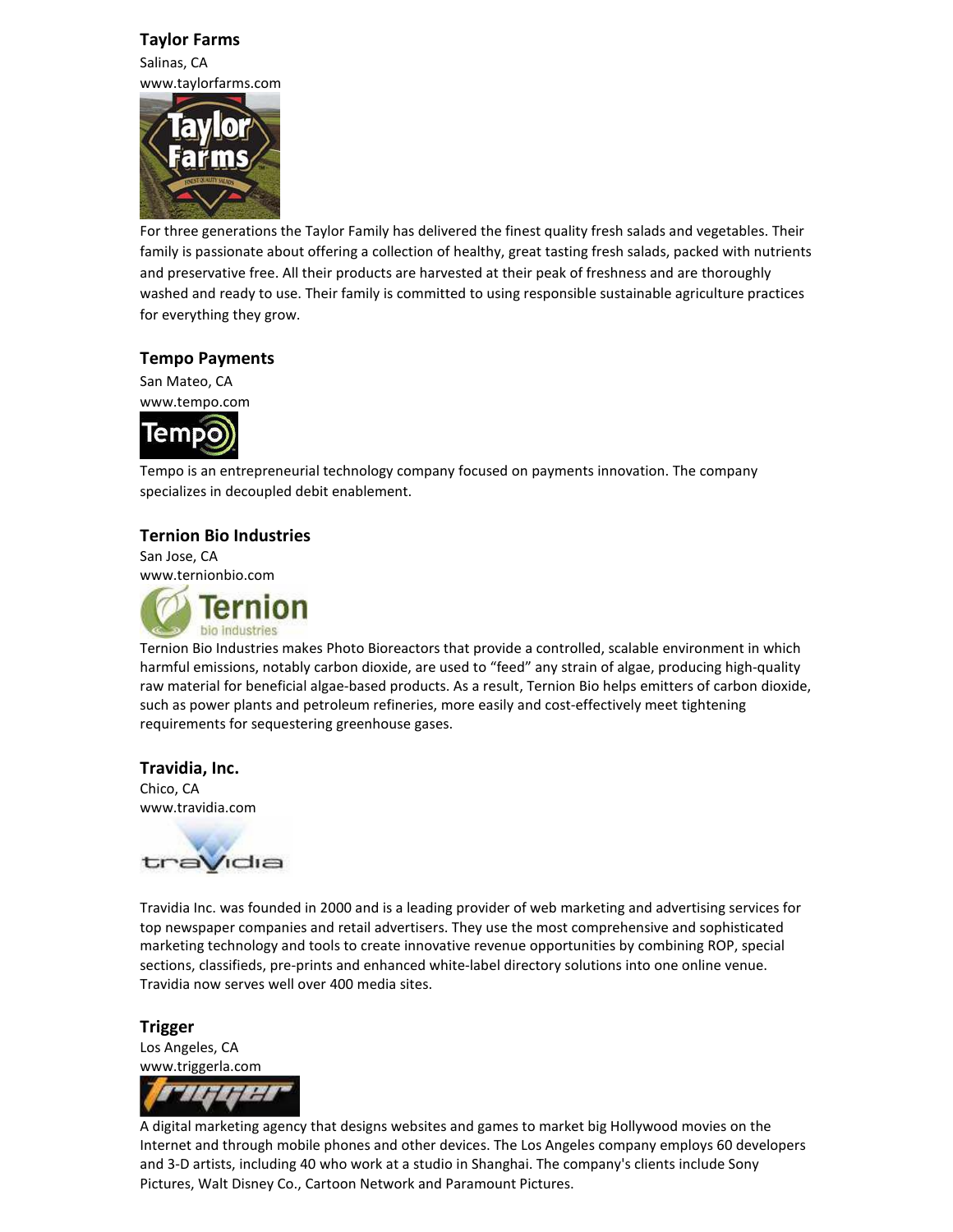#### Taylor Farms

Salinas, CA www.taylorfarms.com



For three generations the Taylor Family has delivered the finest quality fresh salads and vegetables. Their family is passionate about offering a collection of healthy, great tasting fresh salads, packed with nutrients and preservative free. All their products are harvested at their peak of freshness and are thoroughly washed and ready to use. Their family is committed to using responsible sustainable agriculture practices for everything they grow.

#### Tempo Payments

San Mateo, CA www.tempo.com



Tempo is an entrepreneurial technology company focused on payments innovation. The company specializes in decoupled debit enablement.

#### Ternion Bio Industries

San Jose, CA www.ternionbio.com



Ternion Bio Industries makes Photo Bioreactors that provide a controlled, scalable environment in which harmful emissions, notably carbon dioxide, are used to "feed" any strain of algae, producing high-quality raw material for beneficial algae-based products. As a result, Ternion Bio helps emitters of carbon dioxide, such as power plants and petroleum refineries, more easily and cost-effectively meet tightening requirements for sequestering greenhouse gases.

#### Travidia, Inc.

Chico, CA www.travidia.com



Travidia Inc. was founded in 2000 and is a leading provider of web marketing and advertising services for top newspaper companies and retail advertisers. They use the most comprehensive and sophisticated marketing technology and tools to create innovative revenue opportunities by combining ROP, special sections, classifieds, pre-prints and enhanced white-label directory solutions into one online venue. Travidia now serves well over 400 media sites.

#### Trigger

Los Angeles, CA www.triggerla.com



A digital marketing agency that designs websites and games to market big Hollywood movies on the Internet and through mobile phones and other devices. The Los Angeles company employs 60 developers and 3-D artists, including 40 who work at a studio in Shanghai. The company's clients include Sony Pictures, Walt Disney Co., Cartoon Network and Paramount Pictures.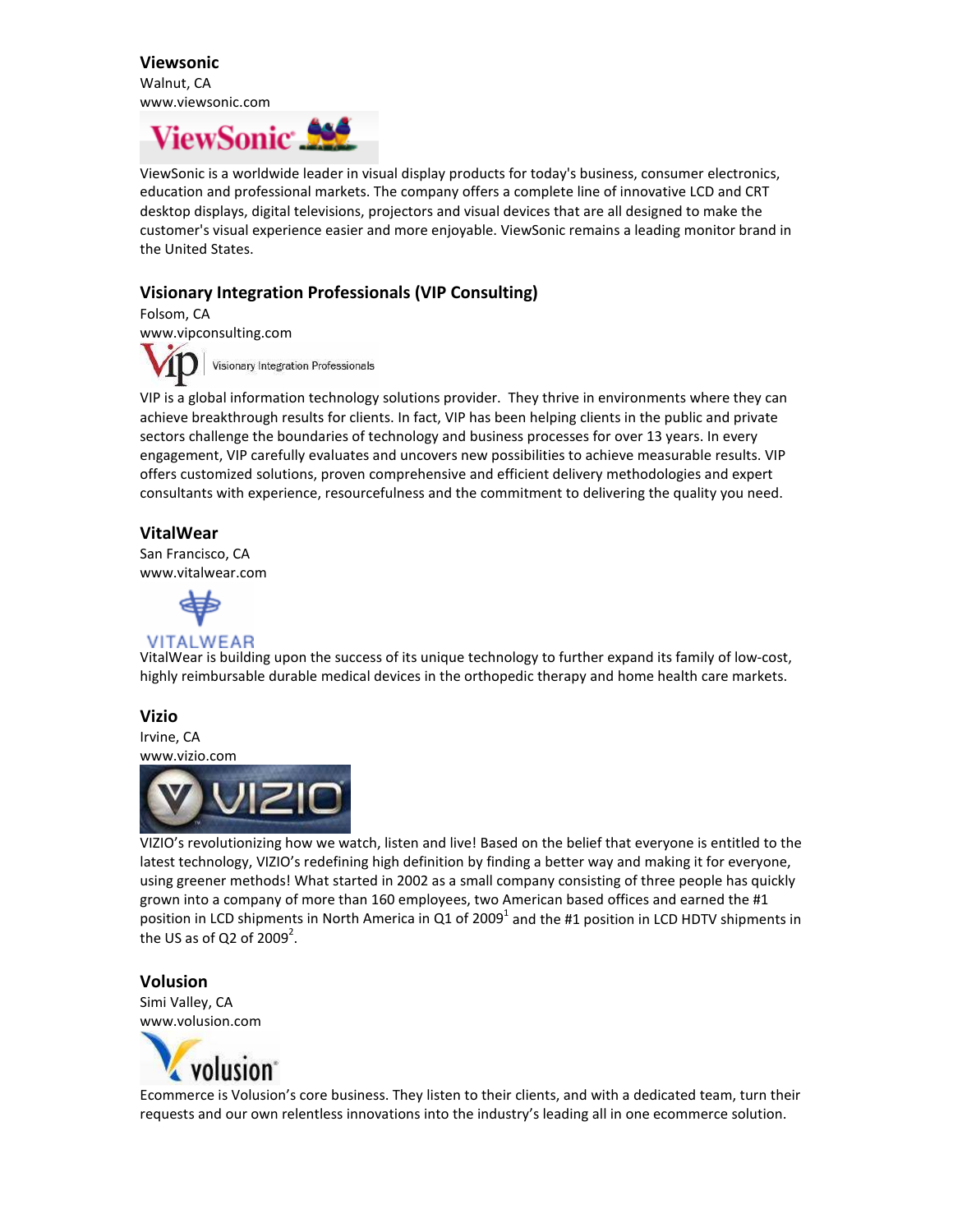Viewsonic Walnut, CA www.viewsonic.com

# **ViewSonic**

ViewSonic is a worldwide leader in visual display products for today's business, consumer electronics, education and professional markets. The company offers a complete line of innovative LCD and CRT desktop displays, digital televisions, projectors and visual devices that are all designed to make the customer's visual experience easier and more enjoyable. ViewSonic remains a leading monitor brand in the United States.

#### Visionary Integration Professionals (VIP Consulting)

Folsom, CA www.vipconsulting.com

Visionary Integration Professionals

VIP is a global information technology solutions provider. They thrive in environments where they can achieve breakthrough results for clients. In fact, VIP has been helping clients in the public and private sectors challenge the boundaries of technology and business processes for over 13 years. In every engagement, VIP carefully evaluates and uncovers new possibilities to achieve measurable results. VIP offers customized solutions, proven comprehensive and efficient delivery methodologies and expert consultants with experience, resourcefulness and the commitment to delivering the quality you need.

#### VitalWear

San Francisco, CA www.vitalwear.com



#### **VITALWEAR**

VitalWear is building upon the success of its unique technology to further expand its family of low-cost, highly reimbursable durable medical devices in the orthopedic therapy and home health care markets.

#### Vizio

Irvine, CA





VIZIO's revolutionizing how we watch, listen and live! Based on the belief that everyone is entitled to the latest technology, VIZIO's redefining high definition by finding a better way and making it for everyone, using greener methods! What started in 2002 as a small company consisting of three people has quickly grown into a company of more than 160 employees, two American based offices and earned the #1 position in LCD shipments in North America in Q1 of 2009<sup>1</sup> and the #1 position in LCD HDTV shipments in the US as of Q2 of 2009<sup>2</sup>.

#### Volusion

Simi Valley, CA www.volusion.com



Ecommerce is Volusion's core business. They listen to their clients, and with a dedicated team, turn their requests and our own relentless innovations into the industry's leading all in one ecommerce solution.